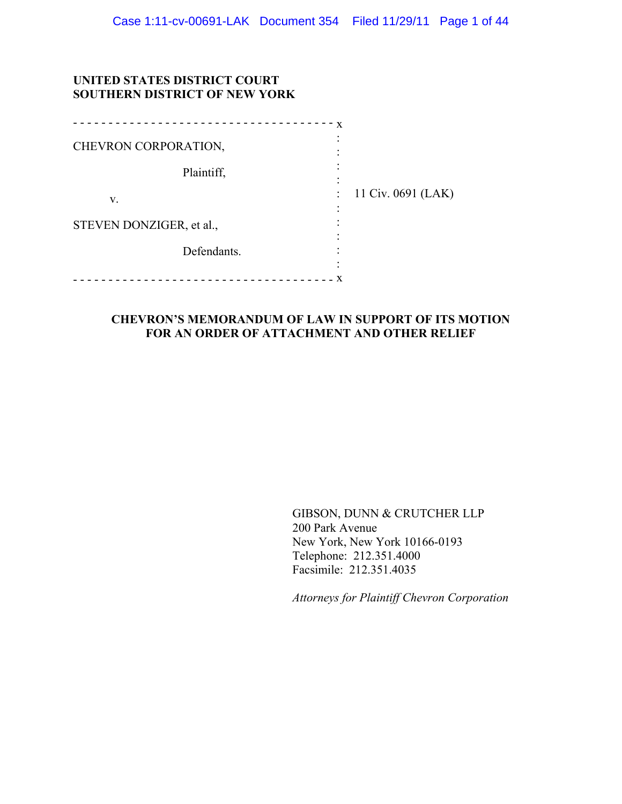## **UNITED STATES DISTRICT COURT SOUTHERN DISTRICT OF NEW YORK**

|                          | X |                    |
|--------------------------|---|--------------------|
| CHEVRON CORPORATION,     |   |                    |
| Plaintiff,               |   |                    |
| V.                       |   | 11 Civ. 0691 (LAK) |
| STEVEN DONZIGER, et al., |   |                    |
| Defendants.              |   |                    |
|                          |   |                    |

## **CHEVRON'S MEMORANDUM OF LAW IN SUPPORT OF ITS MOTION FOR AN ORDER OF ATTACHMENT AND OTHER RELIEF**

GIBSON, DUNN & CRUTCHER LLP 200 Park Avenue New York, New York 10166-0193 Telephone: 212.351.4000 Facsimile: 212.351.4035

*Attorneys for Plaintiff Chevron Corporation*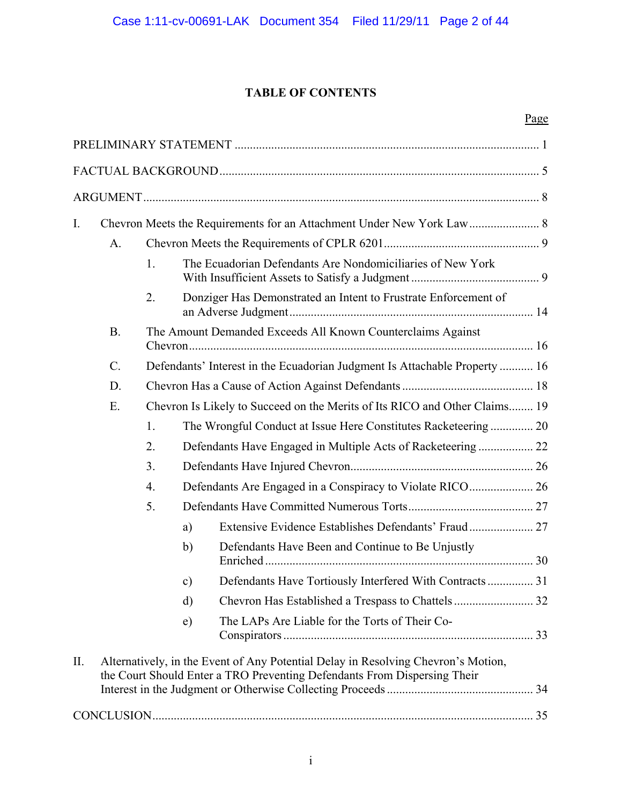# **TABLE OF CONTENTS**

|--|

| $\mathbf{I}$ . |           |                  |            |                                                                                                                                                               |  |
|----------------|-----------|------------------|------------|---------------------------------------------------------------------------------------------------------------------------------------------------------------|--|
|                | A.        |                  |            |                                                                                                                                                               |  |
|                |           | 1.               |            | The Ecuadorian Defendants Are Nondomiciliaries of New York                                                                                                    |  |
|                |           | 2.               |            | Donziger Has Demonstrated an Intent to Frustrate Enforcement of                                                                                               |  |
|                | <b>B.</b> |                  |            | The Amount Demanded Exceeds All Known Counterclaims Against                                                                                                   |  |
|                | $C$ .     |                  |            | Defendants' Interest in the Ecuadorian Judgment Is Attachable Property  16                                                                                    |  |
|                | D.        |                  |            |                                                                                                                                                               |  |
|                | E.        |                  |            | Chevron Is Likely to Succeed on the Merits of Its RICO and Other Claims 19                                                                                    |  |
|                |           | 1.               |            | The Wrongful Conduct at Issue Here Constitutes Racketeering 20                                                                                                |  |
|                |           | 2.               |            | Defendants Have Engaged in Multiple Acts of Racketeering  22                                                                                                  |  |
|                |           | 3.               |            |                                                                                                                                                               |  |
|                |           | $\overline{4}$ . |            |                                                                                                                                                               |  |
|                |           | 5.               |            |                                                                                                                                                               |  |
|                |           |                  | a)         |                                                                                                                                                               |  |
|                |           |                  | b)         | Defendants Have Been and Continue to Be Unjustly                                                                                                              |  |
|                |           |                  | c)         | Defendants Have Tortiously Interfered With Contracts 31                                                                                                       |  |
|                |           |                  | d)         |                                                                                                                                                               |  |
|                |           |                  | $\epsilon$ | The LAPs Are Liable for the Torts of Their Co-                                                                                                                |  |
| II.            |           |                  |            | Alternatively, in the Event of Any Potential Delay in Resolving Chevron's Motion,<br>the Court Should Enter a TRO Preventing Defendants From Dispersing Their |  |
|                |           |                  |            |                                                                                                                                                               |  |
|                |           |                  |            |                                                                                                                                                               |  |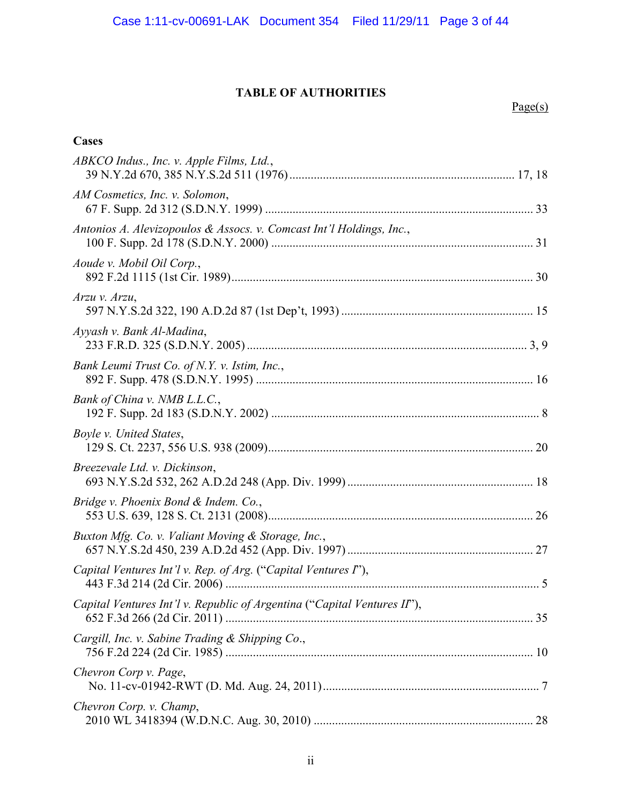## **TABLE OF AUTHORITIES**

## $Page(s)$

| Cases                                                                    |  |
|--------------------------------------------------------------------------|--|
| ABKCO Indus., Inc. v. Apple Films, Ltd.,                                 |  |
| AM Cosmetics, Inc. v. Solomon,                                           |  |
| Antonios A. Alevizopoulos & Assocs. v. Comcast Int'l Holdings, Inc.,     |  |
| Aoude v. Mobil Oil Corp.,                                                |  |
| Arzu v. Arzu,                                                            |  |
| Ayyash v. Bank Al-Madina,                                                |  |
| Bank Leumi Trust Co. of N.Y. v. Istim, Inc.,                             |  |
| Bank of China v. NMB L.L.C.,                                             |  |
| Boyle v. United States,                                                  |  |
| Breezevale Ltd. v. Dickinson,                                            |  |
| Bridge v. Phoenix Bond & Indem. Co.,                                     |  |
| Buxton Mfg. Co. v. Valiant Moving & Storage, Inc.,                       |  |
| Capital Ventures Int'l v. Rep. of Arg. ("Capital Ventures I"),           |  |
| Capital Ventures Int'l v. Republic of Argentina ("Capital Ventures II"), |  |
| Cargill, Inc. v. Sabine Trading & Shipping Co.,                          |  |
| Chevron Corp v. Page,                                                    |  |
| Chevron Corp. v. Champ,                                                  |  |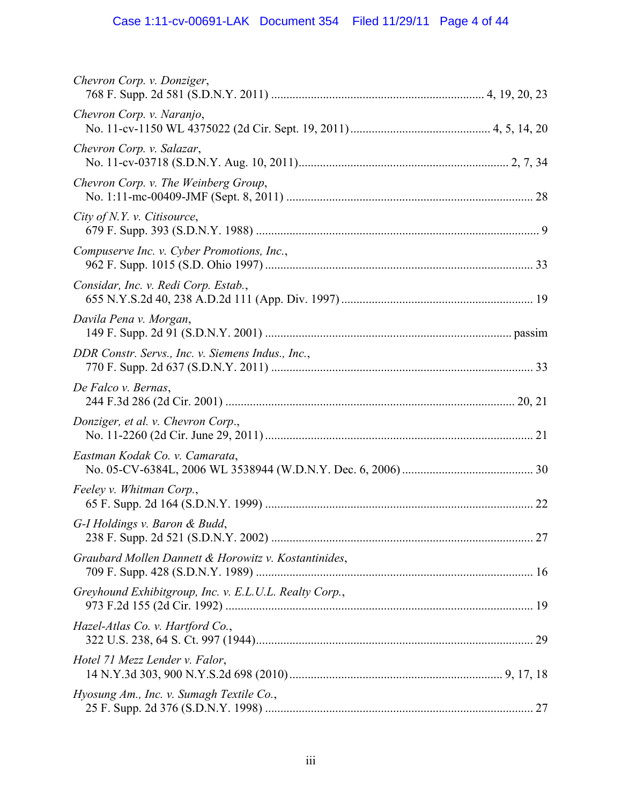# Case 1:11-cv-00691-LAK Document 354 Filed 11/29/11 Page 4 of 44

| Chevron Corp. v. Donziger,                             |  |
|--------------------------------------------------------|--|
| Chevron Corp. v. Naranjo,                              |  |
| Chevron Corp. v. Salazar,                              |  |
| Chevron Corp. v. The Weinberg Group,                   |  |
| City of $N. Y. v.$ Citisource,                         |  |
| Compuserve Inc. v. Cyber Promotions, Inc.,             |  |
| Considar, Inc. v. Redi Corp. Estab.,                   |  |
| Davila Pena v. Morgan,                                 |  |
| DDR Constr. Servs., Inc. v. Siemens Indus., Inc.,      |  |
| De Falco v. Bernas,                                    |  |
| Donziger, et al. v. Chevron Corp.,                     |  |
| Eastman Kodak Co. v. Camarata,                         |  |
| Feeley v. Whitman Corp.,                               |  |
| G-I Holdings v. Baron & Budd,                          |  |
| Graubard Mollen Dannett & Horowitz v. Kostantinides,   |  |
| Greyhound Exhibitgroup, Inc. v. E.L.U.L. Realty Corp., |  |
| Hazel-Atlas Co. v. Hartford Co.,                       |  |
| Hotel 71 Mezz Lender v. Falor,                         |  |
| Hyosung Am., Inc. v. Sumagh Textile Co.,               |  |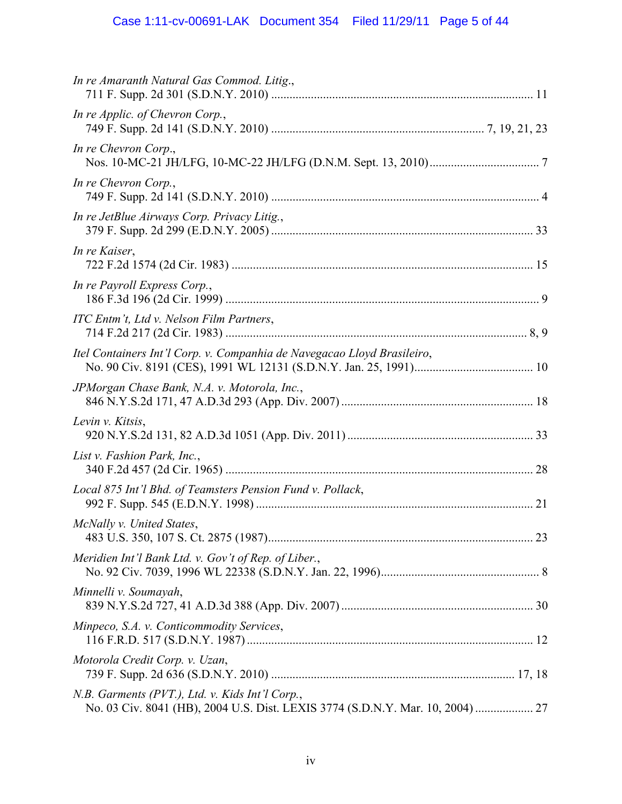| In re Amaranth Natural Gas Commod. Litig.,                              |  |
|-------------------------------------------------------------------------|--|
| In re Applic. of Chevron Corp.,                                         |  |
| In re Chevron Corp.,                                                    |  |
| In re Chevron Corp.,                                                    |  |
| In re JetBlue Airways Corp. Privacy Litig.,                             |  |
| In re Kaiser,                                                           |  |
| In re Payroll Express Corp.,                                            |  |
| ITC Entm't, Ltd v. Nelson Film Partners,                                |  |
| Itel Containers Int'l Corp. v. Companhia de Navegacao Lloyd Brasileiro, |  |
| JPMorgan Chase Bank, N.A. v. Motorola, Inc.,                            |  |
| Levin v. Kitsis,                                                        |  |
| List v. Fashion Park, Inc.,                                             |  |
| Local 875 Int'l Bhd. of Teamsters Pension Fund v. Pollack,              |  |
| McNally v. United States,                                               |  |
| Meridien Int'l Bank Ltd. v. Gov't of Rep. of Liber.,                    |  |
| Minnelli v. Soumayah,                                                   |  |
| Minpeco, S.A. v. Conticommodity Services,                               |  |
| Motorola Credit Corp. v. Uzan,                                          |  |
| N.B. Garments (PVT.), Ltd. v. Kids Int'l Corp.,                         |  |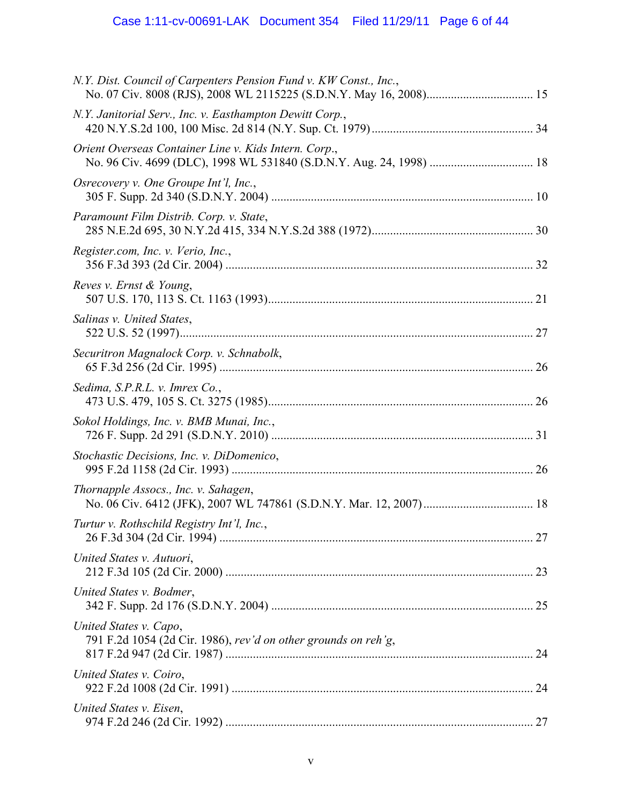# Case 1:11-cv-00691-LAK Document 354 Filed 11/29/11 Page 6 of 44

| N.Y. Dist. Council of Carpenters Pension Fund v. KW Const., Inc.,                                                            |  |
|------------------------------------------------------------------------------------------------------------------------------|--|
| N.Y. Janitorial Serv., Inc. v. Easthampton Dewitt Corp.,                                                                     |  |
| Orient Overseas Container Line v. Kids Intern. Corp.,<br>No. 96 Civ. 4699 (DLC), 1998 WL 531840 (S.D.N.Y. Aug. 24, 1998)  18 |  |
| Osrecovery v. One Groupe Int'l, Inc.,                                                                                        |  |
| Paramount Film Distrib. Corp. v. State,                                                                                      |  |
| Register.com, Inc. v. Verio, Inc.,                                                                                           |  |
| Reves v. Ernst & Young,                                                                                                      |  |
| Salinas v. United States,                                                                                                    |  |
| Securitron Magnalock Corp. v. Schnabolk,                                                                                     |  |
| Sedima, S.P.R.L. v. Imrex Co.,                                                                                               |  |
| Sokol Holdings, Inc. v. BMB Munai, Inc.,                                                                                     |  |
| Stochastic Decisions, Inc. v. DiDomenico,                                                                                    |  |
| Thornapple Assocs., Inc. v. Sahagen,                                                                                         |  |
| Turtur v. Rothschild Registry Int'l, Inc.,                                                                                   |  |
| United States v. Autuori,                                                                                                    |  |
| United States v. Bodmer,                                                                                                     |  |
| United States v. Capo,<br>791 F.2d 1054 (2d Cir. 1986), rev'd on other grounds on reh'g,                                     |  |
| United States v. Coiro,                                                                                                      |  |
| United States v. Eisen,                                                                                                      |  |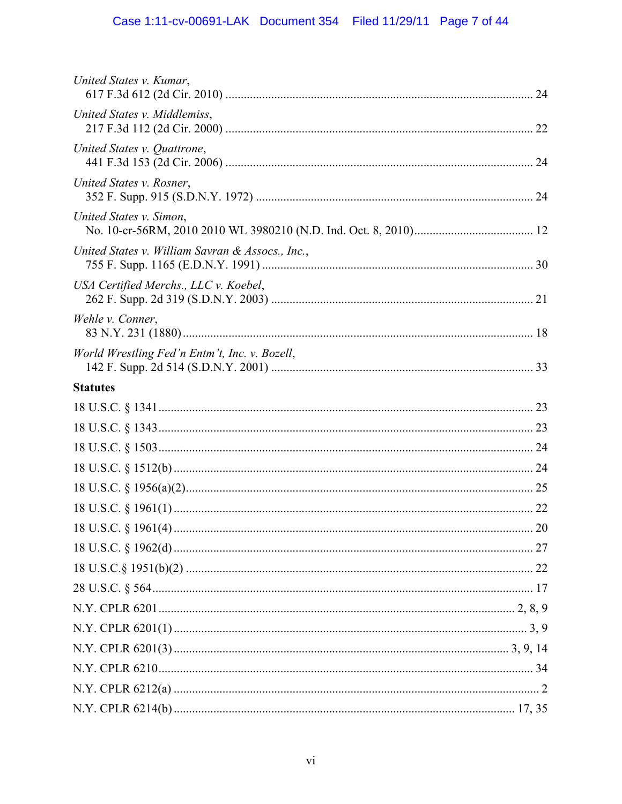| United States v. Kumar,                          |  |
|--------------------------------------------------|--|
| United States v. Middlemiss,                     |  |
| United States v. Quattrone,                      |  |
| United States v. Rosner,                         |  |
| United States v. Simon,                          |  |
| United States v. William Savran & Assocs., Inc., |  |
| USA Certified Merchs., LLC v. Koebel,            |  |
| Wehle v. Conner,                                 |  |
| World Wrestling Fed'n Entm't, Inc. v. Bozell,    |  |
| <b>Statutes</b>                                  |  |
|                                                  |  |
|                                                  |  |
|                                                  |  |
|                                                  |  |
|                                                  |  |
|                                                  |  |
|                                                  |  |
|                                                  |  |
|                                                  |  |
|                                                  |  |
|                                                  |  |
|                                                  |  |
|                                                  |  |
|                                                  |  |
|                                                  |  |
|                                                  |  |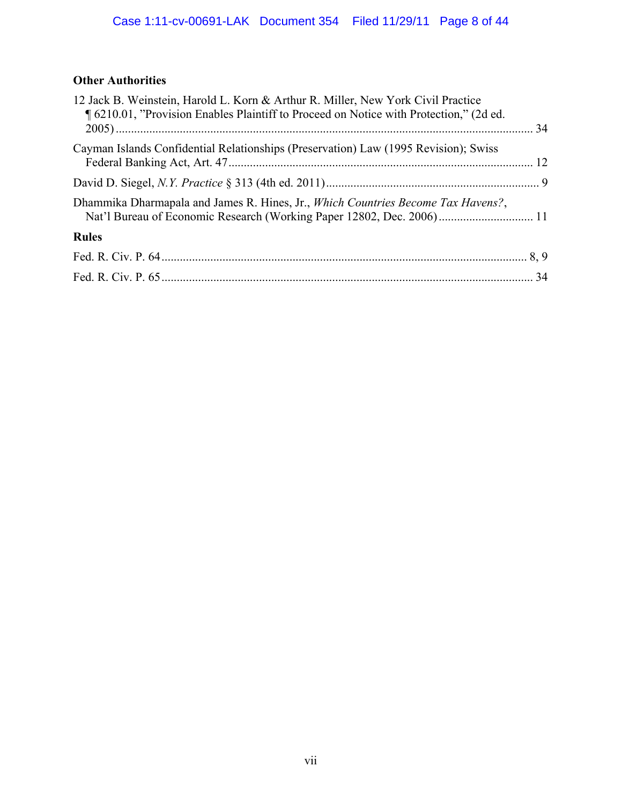## **Other Authorities**

| 12 Jack B. Weinstein, Harold L. Korn & Arthur R. Miller, New York Civil Practice<br>¶ 6210.01, "Provision Enables Plaintiff to Proceed on Notice with Protection," (2d ed. |  |
|----------------------------------------------------------------------------------------------------------------------------------------------------------------------------|--|
|                                                                                                                                                                            |  |
| Cayman Islands Confidential Relationships (Preservation) Law (1995 Revision); Swiss                                                                                        |  |
|                                                                                                                                                                            |  |
| Dhammika Dharmapala and James R. Hines, Jr., Which Countries Become Tax Havens?,<br>Nat'l Bureau of Economic Research (Working Paper 12802, Dec. 2006) 11                  |  |
| <b>Rules</b>                                                                                                                                                               |  |
|                                                                                                                                                                            |  |
|                                                                                                                                                                            |  |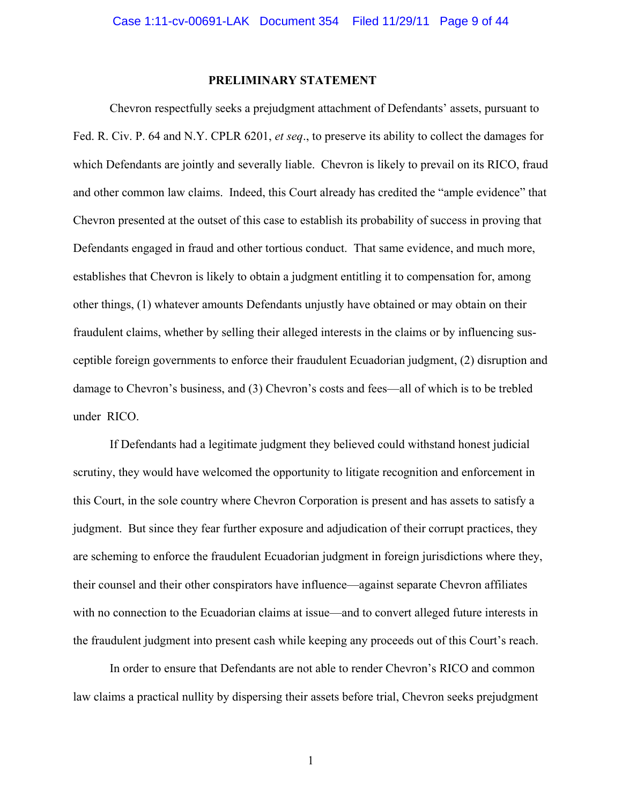#### **PRELIMINARY STATEMENT**

Chevron respectfully seeks a prejudgment attachment of Defendants' assets, pursuant to Fed. R. Civ. P. 64 and N.Y. CPLR 6201, *et seq*., to preserve its ability to collect the damages for which Defendants are jointly and severally liable. Chevron is likely to prevail on its RICO, fraud and other common law claims. Indeed, this Court already has credited the "ample evidence" that Chevron presented at the outset of this case to establish its probability of success in proving that Defendants engaged in fraud and other tortious conduct. That same evidence, and much more, establishes that Chevron is likely to obtain a judgment entitling it to compensation for, among other things, (1) whatever amounts Defendants unjustly have obtained or may obtain on their fraudulent claims, whether by selling their alleged interests in the claims or by influencing susceptible foreign governments to enforce their fraudulent Ecuadorian judgment, (2) disruption and damage to Chevron's business, and (3) Chevron's costs and fees—all of which is to be trebled under RICO.

If Defendants had a legitimate judgment they believed could withstand honest judicial scrutiny, they would have welcomed the opportunity to litigate recognition and enforcement in this Court, in the sole country where Chevron Corporation is present and has assets to satisfy a judgment. But since they fear further exposure and adjudication of their corrupt practices, they are scheming to enforce the fraudulent Ecuadorian judgment in foreign jurisdictions where they, their counsel and their other conspirators have influence—against separate Chevron affiliates with no connection to the Ecuadorian claims at issue—and to convert alleged future interests in the fraudulent judgment into present cash while keeping any proceeds out of this Court's reach.

In order to ensure that Defendants are not able to render Chevron's RICO and common law claims a practical nullity by dispersing their assets before trial, Chevron seeks prejudgment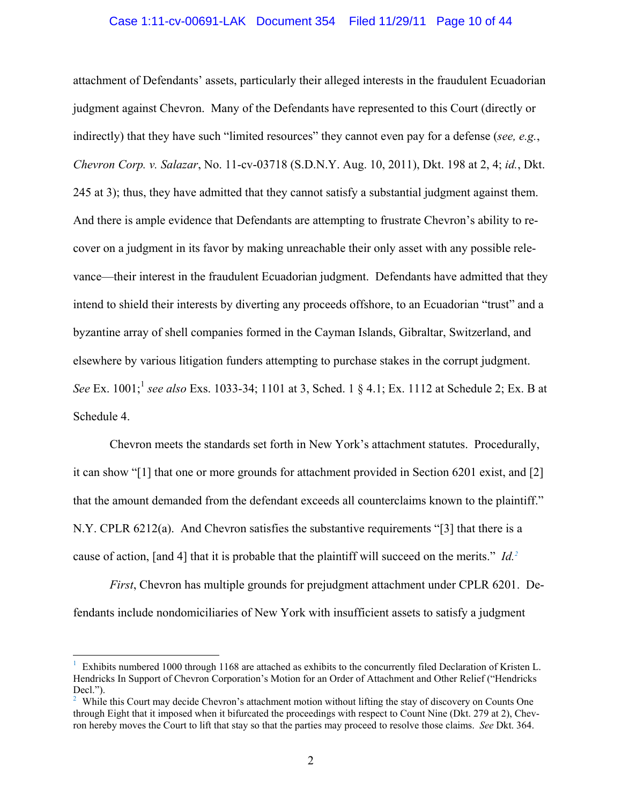#### Case 1:11-cv-00691-LAK Document 354 Filed 11/29/11 Page 10 of 44

attachment of Defendants' assets, particularly their alleged interests in the fraudulent Ecuadorian judgment against Chevron. Many of the Defendants have represented to this Court (directly or indirectly) that they have such "limited resources" they cannot even pay for a defense (*see, e.g.*, *Chevron Corp. v. Salazar*, No. 11-cv-03718 (S.D.N.Y. Aug. 10, 2011), Dkt. 198 at 2, 4; *id.*, Dkt. 245 at 3); thus, they have admitted that they cannot satisfy a substantial judgment against them. And there is ample evidence that Defendants are attempting to frustrate Chevron's ability to recover on a judgment in its favor by making unreachable their only asset with any possible relevance—their interest in the fraudulent Ecuadorian judgment. Defendants have admitted that they intend to shield their interests by diverting any proceeds offshore, to an Ecuadorian "trust" and a byzantine array of shell companies formed in the Cayman Islands, Gibraltar, Switzerland, and elsewhere by various litigation funders attempting to purchase stakes in the corrupt judgment. *See* Ex. 1001;<sup>1</sup> *see also* Exs. 1033-34; 1101 at 3, Sched. 1 § 4.1; Ex. 1112 at Schedule 2; Ex. B at Schedule 4.

Chevron meets the standards set forth in New York's attachment statutes. Procedurally, it can show "[1] that one or more grounds for attachment provided in Section 6201 exist, and [2] that the amount demanded from the defendant exceeds all counterclaims known to the plaintiff." N.Y. CPLR 6212(a). And Chevron satisfies the substantive requirements "[3] that there is a cause of action, [and 4] that it is probable that the plaintiff will succeed on the merits." *Id.2*

*First*, Chevron has multiple grounds for prejudgment attachment under CPLR 6201. Defendants include nondomiciliaries of New York with insufficient assets to satisfy a judgment

<sup>1</sup> Exhibits numbered 1000 through 1168 are attached as exhibits to the concurrently filed Declaration of Kristen L. Hendricks In Support of Chevron Corporation's Motion for an Order of Attachment and Other Relief ("Hendricks Decl.").

<sup>&</sup>lt;sup>2</sup> While this Court may decide Chevron's attachment motion without lifting the stay of discovery on Counts One through Eight that it imposed when it bifurcated the proceedings with respect to Count Nine (Dkt. 279 at 2), Chevron hereby moves the Court to lift that stay so that the parties may proceed to resolve those claims. *See* Dkt. 364.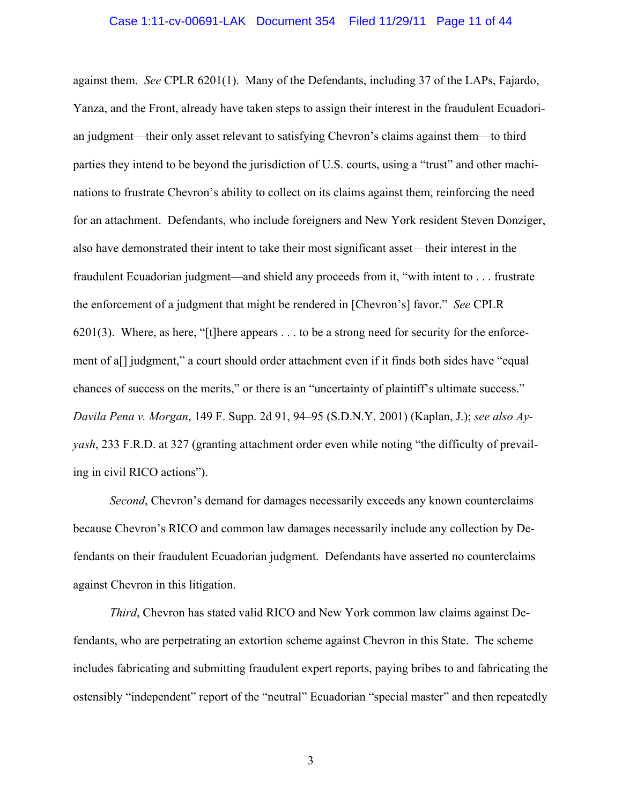against them. *See* CPLR 6201(1). Many of the Defendants, including 37 of the LAPs, Fajardo, Yanza, and the Front, already have taken steps to assign their interest in the fraudulent Ecuadorian judgment—their only asset relevant to satisfying Chevron's claims against them—to third parties they intend to be beyond the jurisdiction of U.S. courts, using a "trust" and other machinations to frustrate Chevron's ability to collect on its claims against them, reinforcing the need for an attachment. Defendants, who include foreigners and New York resident Steven Donziger, also have demonstrated their intent to take their most significant asset—their interest in the fraudulent Ecuadorian judgment—and shield any proceeds from it, "with intent to . . . frustrate the enforcement of a judgment that might be rendered in [Chevron's] favor." *See* CPLR 6201(3). Where, as here, "[t]here appears . . . to be a strong need for security for the enforcement of a[] judgment," a court should order attachment even if it finds both sides have "equal chances of success on the merits," or there is an "uncertainty of plaintiff's ultimate success." *Davila Pena v. Morgan*, 149 F. Supp. 2d 91, 94–95 (S.D.N.Y. 2001) (Kaplan, J.); *see also Ayyash*, 233 F.R.D. at 327 (granting attachment order even while noting "the difficulty of prevailing in civil RICO actions").

*Second*, Chevron's demand for damages necessarily exceeds any known counterclaims because Chevron's RICO and common law damages necessarily include any collection by Defendants on their fraudulent Ecuadorian judgment. Defendants have asserted no counterclaims against Chevron in this litigation.

*Third*, Chevron has stated valid RICO and New York common law claims against Defendants, who are perpetrating an extortion scheme against Chevron in this State. The scheme includes fabricating and submitting fraudulent expert reports, paying bribes to and fabricating the ostensibly "independent" report of the "neutral" Ecuadorian "special master" and then repeatedly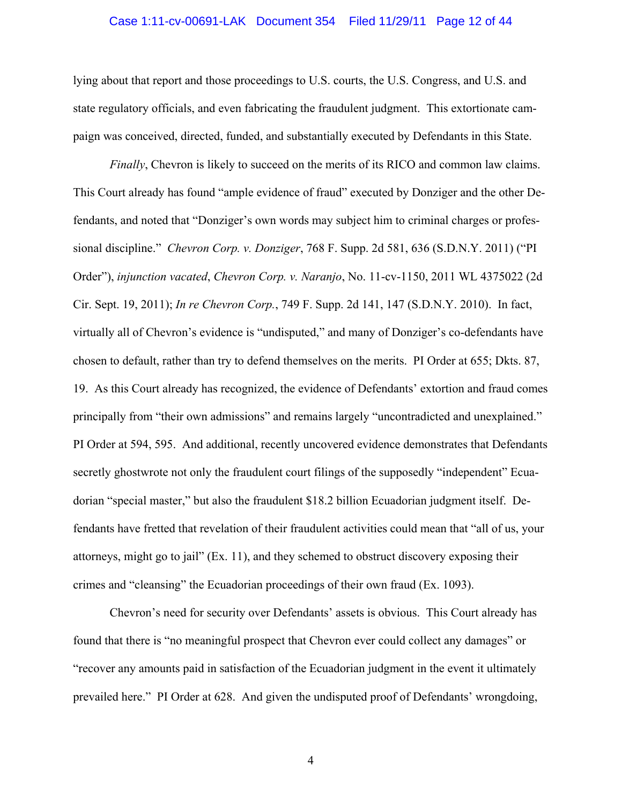#### Case 1:11-cv-00691-LAK Document 354 Filed 11/29/11 Page 12 of 44

lying about that report and those proceedings to U.S. courts, the U.S. Congress, and U.S. and state regulatory officials, and even fabricating the fraudulent judgment. This extortionate campaign was conceived, directed, funded, and substantially executed by Defendants in this State.

*Finally*, Chevron is likely to succeed on the merits of its RICO and common law claims. This Court already has found "ample evidence of fraud" executed by Donziger and the other Defendants, and noted that "Donziger's own words may subject him to criminal charges or professional discipline." *Chevron Corp. v. Donziger*, 768 F. Supp. 2d 581, 636 (S.D.N.Y. 2011) ("PI Order"), *injunction vacated*, *Chevron Corp. v. Naranjo*, No. 11-cv-1150, 2011 WL 4375022 (2d Cir. Sept. 19, 2011); *In re Chevron Corp.*, 749 F. Supp. 2d 141, 147 (S.D.N.Y. 2010). In fact, virtually all of Chevron's evidence is "undisputed," and many of Donziger's co-defendants have chosen to default, rather than try to defend themselves on the merits. PI Order at 655; Dkts. 87, 19. As this Court already has recognized, the evidence of Defendants' extortion and fraud comes principally from "their own admissions" and remains largely "uncontradicted and unexplained." PI Order at 594, 595. And additional, recently uncovered evidence demonstrates that Defendants secretly ghostwrote not only the fraudulent court filings of the supposedly "independent" Ecuadorian "special master," but also the fraudulent \$18.2 billion Ecuadorian judgment itself. Defendants have fretted that revelation of their fraudulent activities could mean that "all of us, your attorneys, might go to jail" (Ex. 11), and they schemed to obstruct discovery exposing their crimes and "cleansing" the Ecuadorian proceedings of their own fraud (Ex. 1093).

Chevron's need for security over Defendants' assets is obvious. This Court already has found that there is "no meaningful prospect that Chevron ever could collect any damages" or "recover any amounts paid in satisfaction of the Ecuadorian judgment in the event it ultimately prevailed here." PI Order at 628. And given the undisputed proof of Defendants' wrongdoing,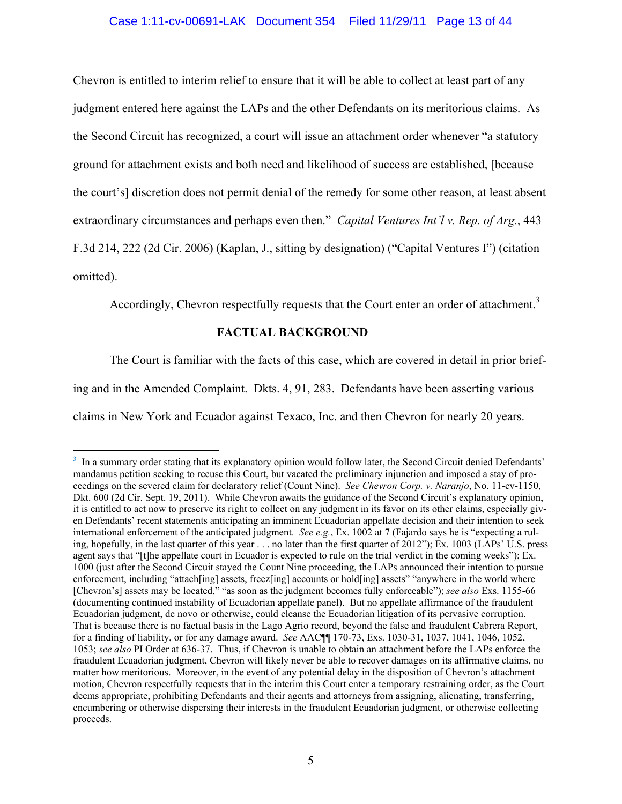## Case 1:11-cv-00691-LAK Document 354 Filed 11/29/11 Page 13 of 44

Chevron is entitled to interim relief to ensure that it will be able to collect at least part of any judgment entered here against the LAPs and the other Defendants on its meritorious claims. As the Second Circuit has recognized, a court will issue an attachment order whenever "a statutory ground for attachment exists and both need and likelihood of success are established, [because the court's] discretion does not permit denial of the remedy for some other reason, at least absent extraordinary circumstances and perhaps even then." *Capital Ventures Int'l v. Rep. of Arg.*, 443 F.3d 214, 222 (2d Cir. 2006) (Kaplan, J., sitting by designation) ("Capital Ventures I") (citation omitted).

Accordingly, Chevron respectfully requests that the Court enter an order of attachment.<sup>3</sup>

## **FACTUAL BACKGROUND**

The Court is familiar with the facts of this case, which are covered in detail in prior brief-

ing and in the Amended Complaint. Dkts. 4, 91, 283. Defendants have been asserting various

claims in New York and Ecuador against Texaco, Inc. and then Chevron for nearly 20 years.

<sup>&</sup>lt;sup>3</sup> In a summary order stating that its explanatory opinion would follow later, the Second Circuit denied Defendants' mandamus petition seeking to recuse this Court, but vacated the preliminary injunction and imposed a stay of proceedings on the severed claim for declaratory relief (Count Nine). *See Chevron Corp. v. Naranjo*, No. 11-cv-1150, Dkt. 600 (2d Cir. Sept. 19, 2011). While Chevron awaits the guidance of the Second Circuit's explanatory opinion, it is entitled to act now to preserve its right to collect on any judgment in its favor on its other claims, especially given Defendants' recent statements anticipating an imminent Ecuadorian appellate decision and their intention to seek international enforcement of the anticipated judgment. *See e.g.*, Ex. 1002 at 7 (Fajardo says he is "expecting a ruling, hopefully, in the last quarter of this year . . . no later than the first quarter of 2012"); Ex. 1003 (LAPs' U.S. press agent says that "[t]he appellate court in Ecuador is expected to rule on the trial verdict in the coming weeks"); Ex. 1000 (just after the Second Circuit stayed the Count Nine proceeding, the LAPs announced their intention to pursue enforcement, including "attach[ing] assets, freez[ing] accounts or hold[ing] assets" "anywhere in the world where [Chevron's] assets may be located," "as soon as the judgment becomes fully enforceable"); *see also* Exs. 1155-66 (documenting continued instability of Ecuadorian appellate panel). But no appellate affirmance of the fraudulent Ecuadorian judgment, de novo or otherwise, could cleanse the Ecuadorian litigation of its pervasive corruption. That is because there is no factual basis in the Lago Agrio record, beyond the false and fraudulent Cabrera Report, for a finding of liability, or for any damage award. *See* AAC¶¶ 170-73, Exs. 1030-31, 1037, 1041, 1046, 1052, 1053; *see also* PI Order at 636-37. Thus, if Chevron is unable to obtain an attachment before the LAPs enforce the fraudulent Ecuadorian judgment, Chevron will likely never be able to recover damages on its affirmative claims, no matter how meritorious. Moreover, in the event of any potential delay in the disposition of Chevron's attachment motion, Chevron respectfully requests that in the interim this Court enter a temporary restraining order, as the Court deems appropriate, prohibiting Defendants and their agents and attorneys from assigning, alienating, transferring, encumbering or otherwise dispersing their interests in the fraudulent Ecuadorian judgment, or otherwise collecting proceeds.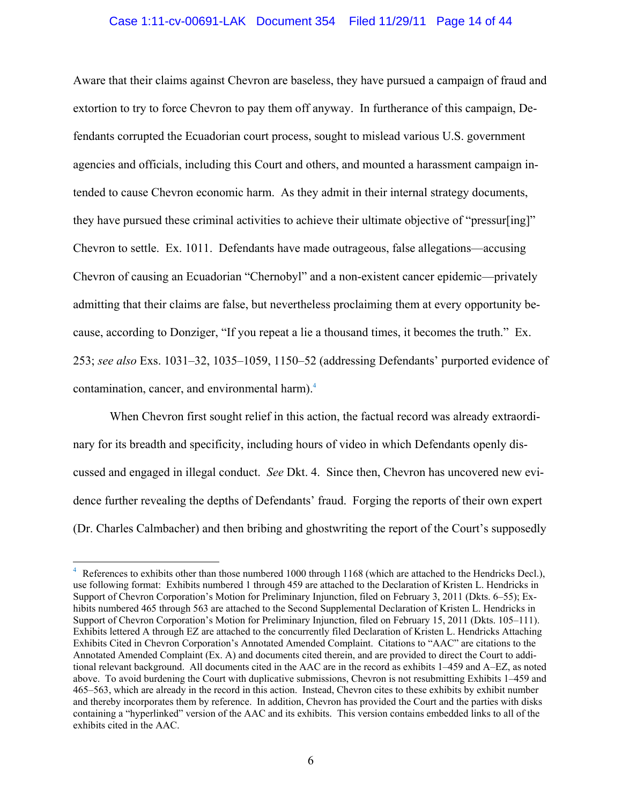#### Case 1:11-cv-00691-LAK Document 354 Filed 11/29/11 Page 14 of 44

Aware that their claims against Chevron are baseless, they have pursued a campaign of fraud and extortion to try to force Chevron to pay them off anyway. In furtherance of this campaign, Defendants corrupted the Ecuadorian court process, sought to mislead various U.S. government agencies and officials, including this Court and others, and mounted a harassment campaign intended to cause Chevron economic harm. As they admit in their internal strategy documents, they have pursued these criminal activities to achieve their ultimate objective of "pressur[ing]" Chevron to settle. Ex. 1011. Defendants have made outrageous, false allegations—accusing Chevron of causing an Ecuadorian "Chernobyl" and a non-existent cancer epidemic—privately admitting that their claims are false, but nevertheless proclaiming them at every opportunity because, according to Donziger, "If you repeat a lie a thousand times, it becomes the truth." Ex. 253; *see also* Exs. 1031–32, 1035–1059, 1150–52 (addressing Defendants' purported evidence of contamination, cancer, and environmental harm).<sup>4</sup>

When Chevron first sought relief in this action, the factual record was already extraordinary for its breadth and specificity, including hours of video in which Defendants openly discussed and engaged in illegal conduct. *See* Dkt. 4. Since then, Chevron has uncovered new evidence further revealing the depths of Defendants' fraud. Forging the reports of their own expert (Dr. Charles Calmbacher) and then bribing and ghostwriting the report of the Court's supposedly

 $\overline{a}$ 

<sup>4</sup> References to exhibits other than those numbered 1000 through 1168 (which are attached to the Hendricks Decl.), use following format: Exhibits numbered 1 through 459 are attached to the Declaration of Kristen L. Hendricks in Support of Chevron Corporation's Motion for Preliminary Injunction, filed on February 3, 2011 (Dkts. 6–55); Exhibits numbered 465 through 563 are attached to the Second Supplemental Declaration of Kristen L. Hendricks in Support of Chevron Corporation's Motion for Preliminary Injunction, filed on February 15, 2011 (Dkts. 105–111). Exhibits lettered A through EZ are attached to the concurrently filed Declaration of Kristen L. Hendricks Attaching Exhibits Cited in Chevron Corporation's Annotated Amended Complaint. Citations to "AAC" are citations to the Annotated Amended Complaint (Ex. A) and documents cited therein, and are provided to direct the Court to additional relevant background. All documents cited in the AAC are in the record as exhibits 1–459 and A–EZ, as noted above. To avoid burdening the Court with duplicative submissions, Chevron is not resubmitting Exhibits 1–459 and 465–563, which are already in the record in this action. Instead, Chevron cites to these exhibits by exhibit number and thereby incorporates them by reference. In addition, Chevron has provided the Court and the parties with disks containing a "hyperlinked" version of the AAC and its exhibits. This version contains embedded links to all of the exhibits cited in the AAC.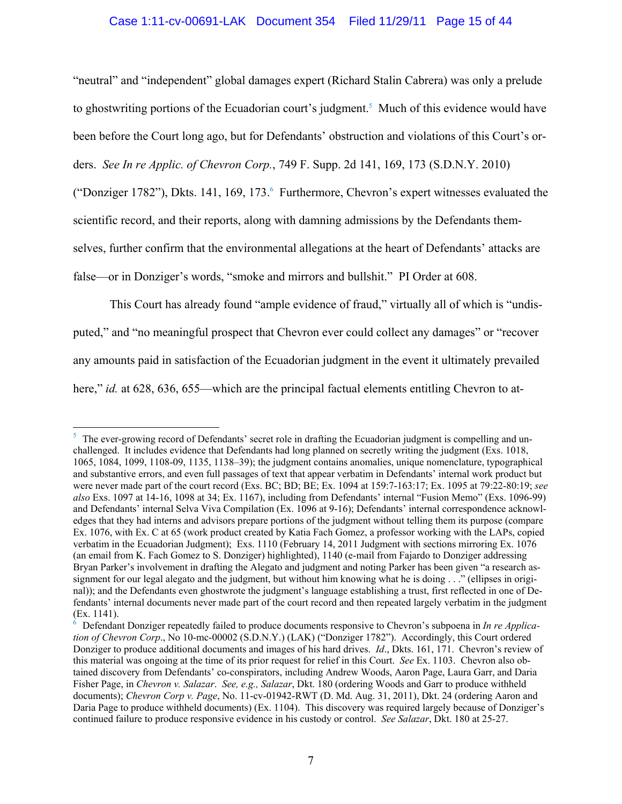## Case 1:11-cv-00691-LAK Document 354 Filed 11/29/11 Page 15 of 44

"neutral" and "independent" global damages expert (Richard Stalin Cabrera) was only a prelude to ghostwriting portions of the Ecuadorian court's judgment.<sup>5</sup> Much of this evidence would have been before the Court long ago, but for Defendants' obstruction and violations of this Court's orders. *See In re Applic. of Chevron Corp.*, 749 F. Supp. 2d 141, 169, 173 (S.D.N.Y. 2010) ("Donziger 1782"), Dkts. 141, 169, 173. Furthermore, Chevron's expert witnesses evaluated the

scientific record, and their reports, along with damning admissions by the Defendants them-

selves, further confirm that the environmental allegations at the heart of Defendants' attacks are

false—or in Donziger's words, "smoke and mirrors and bullshit." PI Order at 608.

 $\overline{a}$ 

This Court has already found "ample evidence of fraud," virtually all of which is "undisputed," and "no meaningful prospect that Chevron ever could collect any damages" or "recover any amounts paid in satisfaction of the Ecuadorian judgment in the event it ultimately prevailed here," *id.* at 628, 636, 655—which are the principal factual elements entitling Chevron to at-

<sup>&</sup>lt;sup>5</sup> The ever-growing record of Defendants' secret role in drafting the Ecuadorian judgment is compelling and unchallenged. It includes evidence that Defendants had long planned on secretly writing the judgment (Exs. 1018, 1065, 1084, 1099, 1108-09, 1135, 1138–39); the judgment contains anomalies, unique nomenclature, typographical and substantive errors, and even full passages of text that appear verbatim in Defendants' internal work product but were never made part of the court record (Exs. BC; BD; BE; Ex. 1094 at 159:7-163:17; Ex. 1095 at 79:22-80:19; *see also* Exs. 1097 at 14-16, 1098 at 34; Ex. 1167), including from Defendants' internal "Fusion Memo" (Exs. 1096-99) and Defendants' internal Selva Viva Compilation (Ex. 1096 at 9-16); Defendants' internal correspondence acknowledges that they had interns and advisors prepare portions of the judgment without telling them its purpose (compare Ex. 1076, with Ex. C at 65 (work product created by Katia Fach Gomez, a professor working with the LAPs, copied verbatim in the Ecuadorian Judgment); Exs. 1110 (February 14, 2011 Judgment with sections mirroring Ex. 1076 (an email from K. Fach Gomez to S. Donziger) highlighted), 1140 (e-mail from Fajardo to Donziger addressing Bryan Parker's involvement in drafting the Alegato and judgment and noting Parker has been given "a research assignment for our legal alegato and the judgment, but without him knowing what he is doing . . ." (ellipses in original)); and the Defendants even ghostwrote the judgment's language establishing a trust, first reflected in one of Defendants' internal documents never made part of the court record and then repeated largely verbatim in the judgment (Ex. 1141).

<sup>&</sup>lt;sup>6</sup> Defendant Donziger repeatedly failed to produce documents responsive to Chevron's subpoena in *In re Application of Chevron Corp*., No 10-mc-00002 (S.D.N.Y.) (LAK) ("Donziger 1782"). Accordingly, this Court ordered Donziger to produce additional documents and images of his hard drives. *Id*., Dkts. 161, 171. Chevron's review of this material was ongoing at the time of its prior request for relief in this Court. *See* Ex. 1103. Chevron also obtained discovery from Defendants' co-conspirators, including Andrew Woods, Aaron Page, Laura Garr, and Daria Fisher Page, in *Chevron v. Salazar*. *See, e.g., Salazar*, Dkt. 180 (ordering Woods and Garr to produce withheld documents); *Chevron Corp v. Page*, No. 11-cv-01942-RWT (D. Md. Aug. 31, 2011), Dkt. 24 (ordering Aaron and Daria Page to produce withheld documents) (Ex. 1104). This discovery was required largely because of Donziger's continued failure to produce responsive evidence in his custody or control. *See Salazar*, Dkt. 180 at 25-27.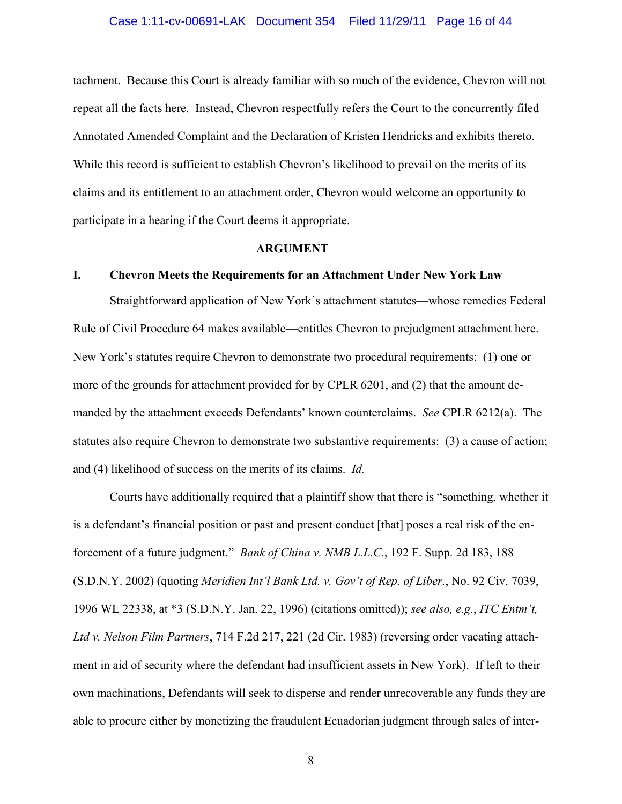#### Case 1:11-cv-00691-LAK Document 354 Filed 11/29/11 Page 16 of 44

tachment. Because this Court is already familiar with so much of the evidence, Chevron will not repeat all the facts here. Instead, Chevron respectfully refers the Court to the concurrently filed Annotated Amended Complaint and the Declaration of Kristen Hendricks and exhibits thereto. While this record is sufficient to establish Chevron's likelihood to prevail on the merits of its claims and its entitlement to an attachment order, Chevron would welcome an opportunity to participate in a hearing if the Court deems it appropriate.

## **ARGUMENT**

## **I. Chevron Meets the Requirements for an Attachment Under New York Law**

Straightforward application of New York's attachment statutes—whose remedies Federal Rule of Civil Procedure 64 makes available—entitles Chevron to prejudgment attachment here. New York's statutes require Chevron to demonstrate two procedural requirements: (1) one or more of the grounds for attachment provided for by CPLR 6201, and (2) that the amount demanded by the attachment exceeds Defendants' known counterclaims. *See* CPLR 6212(a). The statutes also require Chevron to demonstrate two substantive requirements: (3) a cause of action; and (4) likelihood of success on the merits of its claims. *Id.*

Courts have additionally required that a plaintiff show that there is "something, whether it is a defendant's financial position or past and present conduct [that] poses a real risk of the enforcement of a future judgment." *Bank of China v. NMB L.L.C.*, 192 F. Supp. 2d 183, 188 (S.D.N.Y. 2002) (quoting *Meridien Int'l Bank Ltd. v. Gov't of Rep. of Liber.*, No. 92 Civ. 7039, 1996 WL 22338, at \*3 (S.D.N.Y. Jan. 22, 1996) (citations omitted)); *see also, e.g.*, *ITC Entm't, Ltd v. Nelson Film Partners*, 714 F.2d 217, 221 (2d Cir. 1983) (reversing order vacating attachment in aid of security where the defendant had insufficient assets in New York). If left to their own machinations, Defendants will seek to disperse and render unrecoverable any funds they are able to procure either by monetizing the fraudulent Ecuadorian judgment through sales of inter-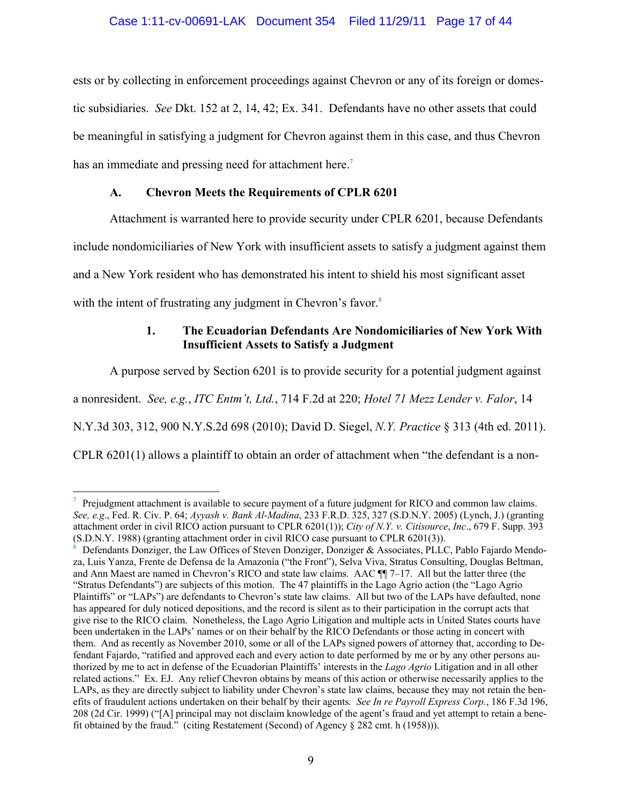ests or by collecting in enforcement proceedings against Chevron or any of its foreign or domestic subsidiaries. *See* Dkt. 152 at 2, 14, 42; Ex. 341. Defendants have no other assets that could be meaningful in satisfying a judgment for Chevron against them in this case, and thus Chevron has an immediate and pressing need for attachment here.<sup>7</sup>

## **A. Chevron Meets the Requirements of CPLR 6201**

Attachment is warranted here to provide security under CPLR 6201, because Defendants

include nondomiciliaries of New York with insufficient assets to satisfy a judgment against them

and a New York resident who has demonstrated his intent to shield his most significant asset

with the intent of frustrating any judgment in Chevron's favor.<sup>8</sup>

 $\overline{a}$ 

## **1. The Ecuadorian Defendants Are Nondomiciliaries of New York With Insufficient Assets to Satisfy a Judgment**

A purpose served by Section 6201 is to provide security for a potential judgment against

a nonresident. *See, e.g.*, *ITC Entm't, Ltd.*, 714 F.2d at 220; *Hotel 71 Mezz Lender v. Falor*, 14

N.Y.3d 303, 312, 900 N.Y.S.2d 698 (2010); David D. Siegel, *N.Y. Practice* § 313 (4th ed. 2011).

CPLR 6201(1) allows a plaintiff to obtain an order of attachment when "the defendant is a non-

<sup>7</sup> Prejudgment attachment is available to secure payment of a future judgment for RICO and common law claims. *See, e.g*., Fed. R. Civ. P. 64; *Ayyash v. Bank Al-Madina*, 233 F.R.D. 325, 327 (S.D.N.Y. 2005) (Lynch, J.) (granting attachment order in civil RICO action pursuant to CPLR 6201(1)); *City of N.Y. v. Citisource*, *Inc*., 679 F. Supp. 393 (S.D.N.Y. 1988) (granting attachment order in civil RICO case pursuant to CPLR 6201(3)).

<sup>8</sup> Defendants Donziger, the Law Offices of Steven Donziger, Donziger & Associates, PLLC, Pablo Fajardo Mendoza, Luis Yanza, Frente de Defensa de la Amazonía ("the Front"), Selva Viva, Stratus Consulting, Douglas Beltman, and Ann Maest are named in Chevron's RICO and state law claims. AAC ¶¶ 7–17. All but the latter three (the "Stratus Defendants") are subjects of this motion. The 47 plaintiffs in the Lago Agrio action (the "Lago Agrio Plaintiffs" or "LAPs") are defendants to Chevron's state law claims. All but two of the LAPs have defaulted, none has appeared for duly noticed depositions, and the record is silent as to their participation in the corrupt acts that give rise to the RICO claim. Nonetheless, the Lago Agrio Litigation and multiple acts in United States courts have been undertaken in the LAPs' names or on their behalf by the RICO Defendants or those acting in concert with them. And as recently as November 2010, some or all of the LAPs signed powers of attorney that, according to Defendant Fajardo, "ratified and approved each and every action to date performed by me or by any other persons authorized by me to act in defense of the Ecuadorian Plaintiffs' interests in the *Lago Agrio* Litigation and in all other related actions." Ex. EJ. Any relief Chevron obtains by means of this action or otherwise necessarily applies to the LAPs, as they are directly subject to liability under Chevron's state law claims, because they may not retain the benefits of fraudulent actions undertaken on their behalf by their agents*. See In re Payroll Express Corp.*, 186 F.3d 196, 208 (2d Cir. 1999) ("[A] principal may not disclaim knowledge of the agent's fraud and yet attempt to retain a benefit obtained by the fraud." (citing Restatement (Second) of Agency § 282 cmt. h (1958))).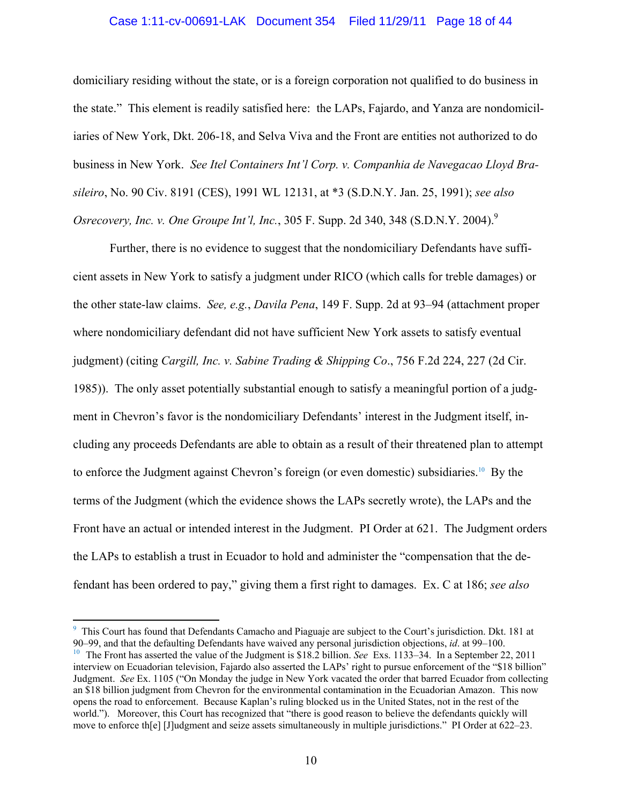#### Case 1:11-cv-00691-LAK Document 354 Filed 11/29/11 Page 18 of 44

domiciliary residing without the state, or is a foreign corporation not qualified to do business in the state." This element is readily satisfied here: the LAPs, Fajardo, and Yanza are nondomiciliaries of New York, Dkt. 206-18, and Selva Viva and the Front are entities not authorized to do business in New York. *See Itel Containers Int'l Corp. v. Companhia de Navegacao Lloyd Brasileiro*, No. 90 Civ. 8191 (CES), 1991 WL 12131, at \*3 (S.D.N.Y. Jan. 25, 1991); *see also Osrecovery, Inc. v. One Groupe Int'l, Inc.*, 305 F. Supp. 2d 340, 348 (S.D.N.Y. 2004).<sup>9</sup>

Further, there is no evidence to suggest that the nondomiciliary Defendants have sufficient assets in New York to satisfy a judgment under RICO (which calls for treble damages) or the other state-law claims. *See, e.g.*, *Davila Pena*, 149 F. Supp. 2d at 93–94 (attachment proper where nondomiciliary defendant did not have sufficient New York assets to satisfy eventual judgment) (citing *Cargill, Inc. v. Sabine Trading & Shipping Co*., 756 F.2d 224, 227 (2d Cir. 1985)). The only asset potentially substantial enough to satisfy a meaningful portion of a judgment in Chevron's favor is the nondomiciliary Defendants' interest in the Judgment itself, including any proceeds Defendants are able to obtain as a result of their threatened plan to attempt to enforce the Judgment against Chevron's foreign (or even domestic) subsidiaries.10 By the terms of the Judgment (which the evidence shows the LAPs secretly wrote), the LAPs and the Front have an actual or intended interest in the Judgment. PI Order at 621. The Judgment orders the LAPs to establish a trust in Ecuador to hold and administer the "compensation that the defendant has been ordered to pay," giving them a first right to damages. Ex. C at 186; *see also*

<sup>&</sup>lt;sup>9</sup> This Court has found that Defendants Camacho and Piaguaje are subject to the Court's jurisdiction. Dkt. 181 at 90–99, and that the defaulting Defendants have waived any personal jurisdiction objections, *id.* at 99–100.<br><sup>10</sup> The Front has asserted the value of the Judgment is \$18.2 billion. *See* Exs. 1133–34. In a September 22, 2

interview on Ecuadorian television, Fajardo also asserted the LAPs' right to pursue enforcement of the "\$18 billion" Judgment. *See* Ex. 1105 ("On Monday the judge in New York vacated the order that barred Ecuador from collecting an \$18 billion judgment from Chevron for the environmental contamination in the Ecuadorian Amazon. This now opens the road to enforcement. Because Kaplan's ruling blocked us in the United States, not in the rest of the world."). Moreover, this Court has recognized that "there is good reason to believe the defendants quickly will move to enforce th[e] [J]udgment and seize assets simultaneously in multiple jurisdictions." PI Order at 622–23.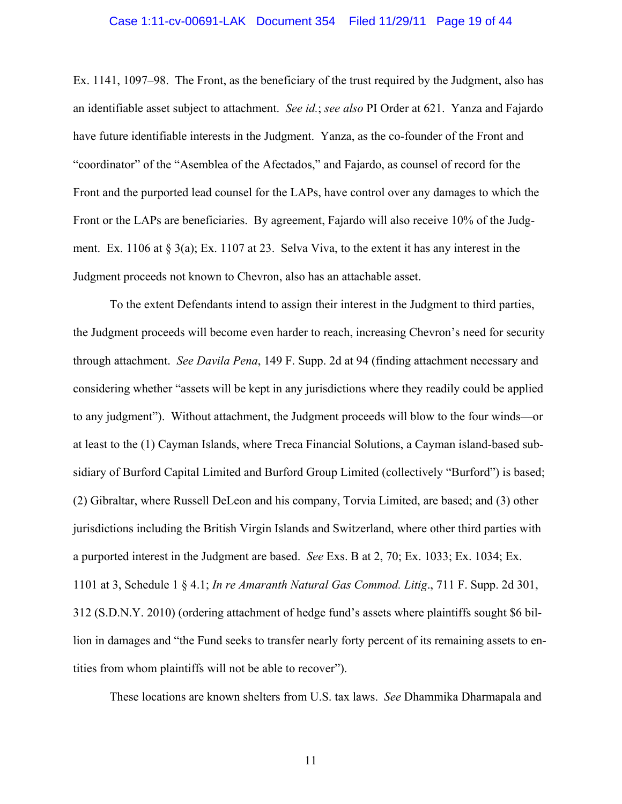#### Case 1:11-cv-00691-LAK Document 354 Filed 11/29/11 Page 19 of 44

Ex. 1141, 1097–98. The Front, as the beneficiary of the trust required by the Judgment, also has an identifiable asset subject to attachment. *See id.*; *see also* PI Order at 621. Yanza and Fajardo have future identifiable interests in the Judgment. Yanza, as the co-founder of the Front and "coordinator" of the "Asemblea of the Afectados," and Fajardo, as counsel of record for the Front and the purported lead counsel for the LAPs, have control over any damages to which the Front or the LAPs are beneficiaries. By agreement, Fajardo will also receive 10% of the Judgment. Ex. 1106 at § 3(a); Ex. 1107 at 23. Selva Viva, to the extent it has any interest in the Judgment proceeds not known to Chevron, also has an attachable asset.

To the extent Defendants intend to assign their interest in the Judgment to third parties, the Judgment proceeds will become even harder to reach, increasing Chevron's need for security through attachment. *See Davila Pena*, 149 F. Supp. 2d at 94 (finding attachment necessary and considering whether "assets will be kept in any jurisdictions where they readily could be applied to any judgment"). Without attachment, the Judgment proceeds will blow to the four winds—or at least to the (1) Cayman Islands, where Treca Financial Solutions, a Cayman island-based subsidiary of Burford Capital Limited and Burford Group Limited (collectively "Burford") is based; (2) Gibraltar, where Russell DeLeon and his company, Torvia Limited, are based; and (3) other jurisdictions including the British Virgin Islands and Switzerland, where other third parties with a purported interest in the Judgment are based. *See* Exs. B at 2, 70; Ex. 1033; Ex. 1034; Ex. 1101 at 3, Schedule 1 § 4.1; *In re Amaranth Natural Gas Commod. Litig*., 711 F. Supp. 2d 301, 312 (S.D.N.Y. 2010) (ordering attachment of hedge fund's assets where plaintiffs sought \$6 billion in damages and "the Fund seeks to transfer nearly forty percent of its remaining assets to entities from whom plaintiffs will not be able to recover").

These locations are known shelters from U.S. tax laws. *See* Dhammika Dharmapala and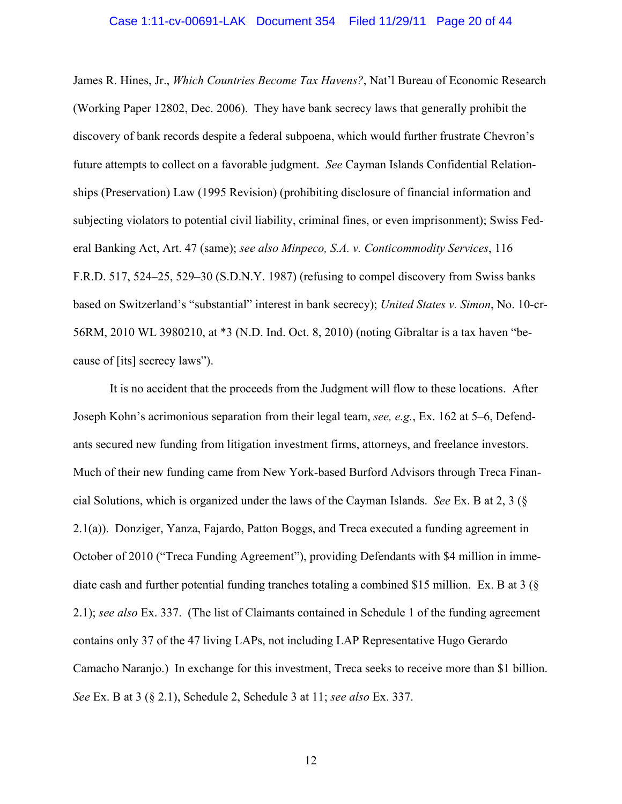James R. Hines, Jr., *Which Countries Become Tax Havens?*, Nat'l Bureau of Economic Research (Working Paper 12802, Dec. 2006). They have bank secrecy laws that generally prohibit the discovery of bank records despite a federal subpoena, which would further frustrate Chevron's future attempts to collect on a favorable judgment. *See* Cayman Islands Confidential Relationships (Preservation) Law (1995 Revision) (prohibiting disclosure of financial information and subjecting violators to potential civil liability, criminal fines, or even imprisonment); Swiss Federal Banking Act, Art. 47 (same); *see also Minpeco, S.A. v. Conticommodity Services*, 116 F.R.D. 517, 524–25, 529–30 (S.D.N.Y. 1987) (refusing to compel discovery from Swiss banks based on Switzerland's "substantial" interest in bank secrecy); *United States v. Simon*, No. 10-cr-56RM, 2010 WL 3980210, at \*3 (N.D. Ind. Oct. 8, 2010) (noting Gibraltar is a tax haven "because of [its] secrecy laws").

It is no accident that the proceeds from the Judgment will flow to these locations. After Joseph Kohn's acrimonious separation from their legal team, *see, e.g.*, Ex. 162 at 5–6, Defendants secured new funding from litigation investment firms, attorneys, and freelance investors. Much of their new funding came from New York-based Burford Advisors through Treca Financial Solutions, which is organized under the laws of the Cayman Islands. *See* Ex. B at 2, 3 (§ 2.1(a)). Donziger, Yanza, Fajardo, Patton Boggs, and Treca executed a funding agreement in October of 2010 ("Treca Funding Agreement"), providing Defendants with \$4 million in immediate cash and further potential funding tranches totaling a combined \$15 million. Ex. B at 3 (§ 2.1); *see also* Ex. 337. (The list of Claimants contained in Schedule 1 of the funding agreement contains only 37 of the 47 living LAPs, not including LAP Representative Hugo Gerardo Camacho Naranjo.) In exchange for this investment, Treca seeks to receive more than \$1 billion. *See* Ex. B at 3 (§ 2.1), Schedule 2, Schedule 3 at 11; *see also* Ex. 337.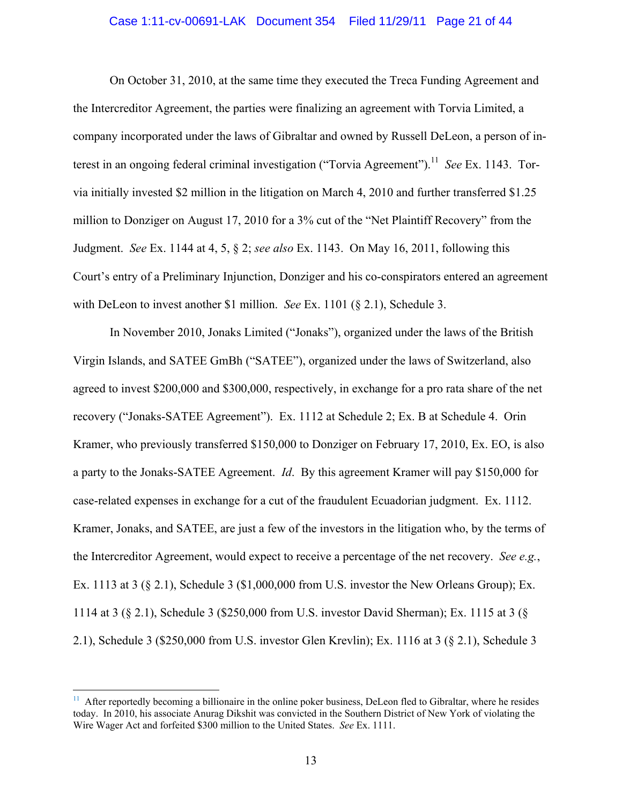#### Case 1:11-cv-00691-LAK Document 354 Filed 11/29/11 Page 21 of 44

On October 31, 2010, at the same time they executed the Treca Funding Agreement and the Intercreditor Agreement, the parties were finalizing an agreement with Torvia Limited, a company incorporated under the laws of Gibraltar and owned by Russell DeLeon, a person of interest in an ongoing federal criminal investigation ("Torvia Agreement").<sup>11</sup> *See* Ex. 1143. Torvia initially invested \$2 million in the litigation on March 4, 2010 and further transferred \$1.25 million to Donziger on August 17, 2010 for a 3% cut of the "Net Plaintiff Recovery" from the Judgment. *See* Ex. 1144 at 4, 5, § 2; *see also* Ex. 1143. On May 16, 2011, following this Court's entry of a Preliminary Injunction, Donziger and his co-conspirators entered an agreement with DeLeon to invest another \$1 million. *See* Ex. 1101 (§ 2.1), Schedule 3.

In November 2010, Jonaks Limited ("Jonaks"), organized under the laws of the British Virgin Islands, and SATEE GmBh ("SATEE"), organized under the laws of Switzerland, also agreed to invest \$200,000 and \$300,000, respectively, in exchange for a pro rata share of the net recovery ("Jonaks-SATEE Agreement"). Ex. 1112 at Schedule 2; Ex. B at Schedule 4. Orin Kramer, who previously transferred \$150,000 to Donziger on February 17, 2010, Ex. EO, is also a party to the Jonaks-SATEE Agreement. *Id*. By this agreement Kramer will pay \$150,000 for case-related expenses in exchange for a cut of the fraudulent Ecuadorian judgment. Ex. 1112. Kramer, Jonaks, and SATEE, are just a few of the investors in the litigation who, by the terms of the Intercreditor Agreement, would expect to receive a percentage of the net recovery. *See e.g.*, Ex. 1113 at 3  $(§ 2.1)$ , Schedule 3  $(§ 1,000,000$  from U.S. investor the New Orleans Group); Ex. 1114 at 3 (§ 2.1), Schedule 3 (\$250,000 from U.S. investor David Sherman); Ex. 1115 at 3 (§ 2.1), Schedule 3 (\$250,000 from U.S. investor Glen Krevlin); Ex. 1116 at 3 (§ 2.1), Schedule 3

 $\overline{a}$ 

 $11$  After reportedly becoming a billionaire in the online poker business, DeLeon fled to Gibraltar, where he resides today. In 2010, his associate Anurag Dikshit was convicted in the Southern District of New York of violating the Wire Wager Act and forfeited \$300 million to the United States. *See* Ex. 1111.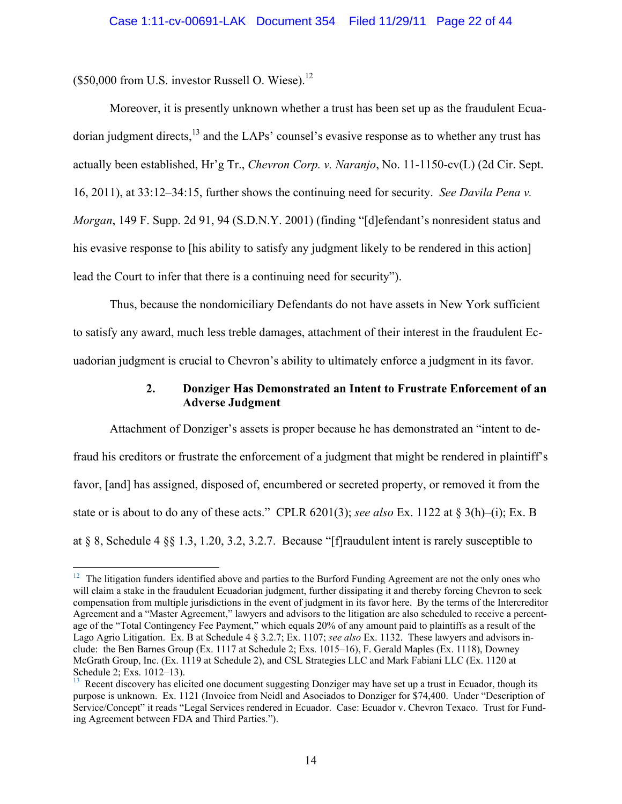$$50,000$  from U.S. investor Russell O. Wiese).<sup>12</sup>

1

Moreover, it is presently unknown whether a trust has been set up as the fraudulent Ecuadorian judgment directs,<sup>13</sup> and the LAPs' counsel's evasive response as to whether any trust has actually been established, Hr'g Tr., *Chevron Corp. v. Naranjo*, No. 11-1150-cv(L) (2d Cir. Sept. 16, 2011), at 33:12–34:15, further shows the continuing need for security. *See Davila Pena v. Morgan*, 149 F. Supp. 2d 91, 94 (S.D.N.Y. 2001) (finding "[d]efendant's nonresident status and his evasive response to [his ability to satisfy any judgment likely to be rendered in this action] lead the Court to infer that there is a continuing need for security").

Thus, because the nondomiciliary Defendants do not have assets in New York sufficient to satisfy any award, much less treble damages, attachment of their interest in the fraudulent Ecuadorian judgment is crucial to Chevron's ability to ultimately enforce a judgment in its favor.

## **2. Donziger Has Demonstrated an Intent to Frustrate Enforcement of an Adverse Judgment**

Attachment of Donziger's assets is proper because he has demonstrated an "intent to defraud his creditors or frustrate the enforcement of a judgment that might be rendered in plaintiff's favor, [and] has assigned, disposed of, encumbered or secreted property, or removed it from the state or is about to do any of these acts." CPLR 6201(3); *see also* Ex. 1122 at § 3(h)–(i); Ex. B at § 8, Schedule 4 §§ 1.3, 1.20, 3.2, 3.2.7. Because "[f]raudulent intent is rarely susceptible to

 $12$  The litigation funders identified above and parties to the Burford Funding Agreement are not the only ones who will claim a stake in the fraudulent Ecuadorian judgment, further dissipating it and thereby forcing Chevron to seek compensation from multiple jurisdictions in the event of judgment in its favor here. By the terms of the Intercreditor Agreement and a "Master Agreement," lawyers and advisors to the litigation are also scheduled to receive a percentage of the "Total Contingency Fee Payment," which equals 20% of any amount paid to plaintiffs as a result of the Lago Agrio Litigation. Ex. B at Schedule 4 § 3.2.7; Ex. 1107; *see also* Ex. 1132. These lawyers and advisors include: the Ben Barnes Group (Ex. 1117 at Schedule 2; Exs. 1015–16), F. Gerald Maples (Ex. 1118), Downey McGrath Group, Inc. (Ex. 1119 at Schedule 2), and CSL Strategies LLC and Mark Fabiani LLC (Ex. 1120 at Schedule 2; Exs. 1012–13).

<sup>13</sup> Recent discovery has elicited one document suggesting Donziger may have set up a trust in Ecuador, though its purpose is unknown. Ex. 1121 (Invoice from Neidl and Asociados to Donziger for \$74,400. Under "Description of Service/Concept" it reads "Legal Services rendered in Ecuador. Case: Ecuador v. Chevron Texaco. Trust for Funding Agreement between FDA and Third Parties.").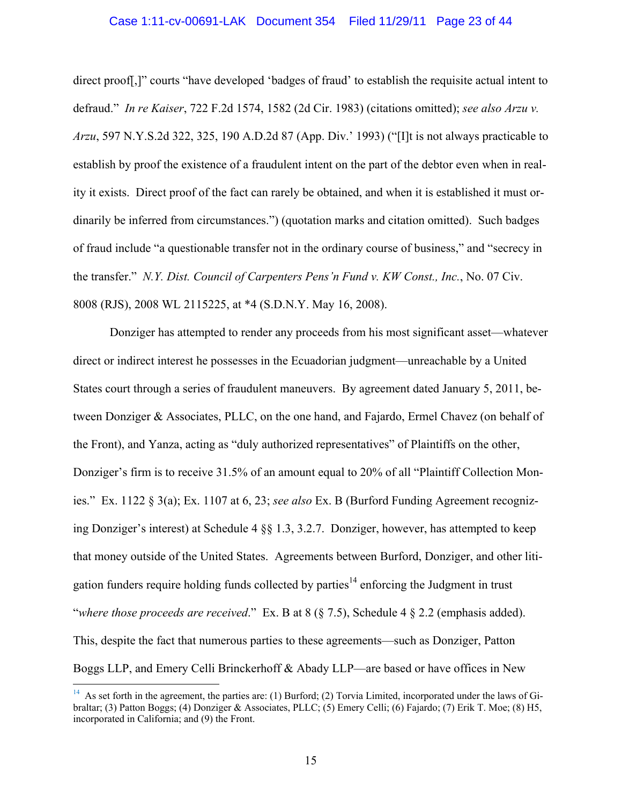#### Case 1:11-cv-00691-LAK Document 354 Filed 11/29/11 Page 23 of 44

direct proof[,]" courts "have developed 'badges of fraud' to establish the requisite actual intent to defraud." *In re Kaiser*, 722 F.2d 1574, 1582 (2d Cir. 1983) (citations omitted); *see also Arzu v. Arzu*, 597 N.Y.S.2d 322, 325, 190 A.D.2d 87 (App. Div.' 1993) ("[I]t is not always practicable to establish by proof the existence of a fraudulent intent on the part of the debtor even when in reality it exists. Direct proof of the fact can rarely be obtained, and when it is established it must ordinarily be inferred from circumstances.") (quotation marks and citation omitted). Such badges of fraud include "a questionable transfer not in the ordinary course of business," and "secrecy in the transfer." *N.Y. Dist. Council of Carpenters Pens'n Fund v. KW Const., Inc.*, No. 07 Civ. 8008 (RJS), 2008 WL 2115225, at \*4 (S.D.N.Y. May 16, 2008).

Donziger has attempted to render any proceeds from his most significant asset—whatever direct or indirect interest he possesses in the Ecuadorian judgment—unreachable by a United States court through a series of fraudulent maneuvers. By agreement dated January 5, 2011, between Donziger & Associates, PLLC, on the one hand, and Fajardo, Ermel Chavez (on behalf of the Front), and Yanza, acting as "duly authorized representatives" of Plaintiffs on the other, Donziger's firm is to receive 31.5% of an amount equal to 20% of all "Plaintiff Collection Monies." Ex. 1122 § 3(a); Ex. 1107 at 6, 23; *see also* Ex. B (Burford Funding Agreement recognizing Donziger's interest) at Schedule 4 §§ 1.3, 3.2.7. Donziger, however, has attempted to keep that money outside of the United States. Agreements between Burford, Donziger, and other litigation funders require holding funds collected by parties<sup>14</sup> enforcing the Judgment in trust "*where those proceeds are received*." Ex. B at 8 (§ 7.5), Schedule 4 § 2.2 (emphasis added). This, despite the fact that numerous parties to these agreements—such as Donziger, Patton Boggs LLP, and Emery Celli Brinckerhoff & Abady LLP—are based or have offices in New

 $\overline{a}$ 

<sup>&</sup>lt;sup>14</sup> As set forth in the agreement, the parties are: (1) Burford; (2) Torvia Limited, incorporated under the laws of Gibraltar; (3) Patton Boggs; (4) Donziger & Associates, PLLC; (5) Emery Celli; (6) Fajardo; (7) Erik T. Moe; (8) H5, incorporated in California; and (9) the Front.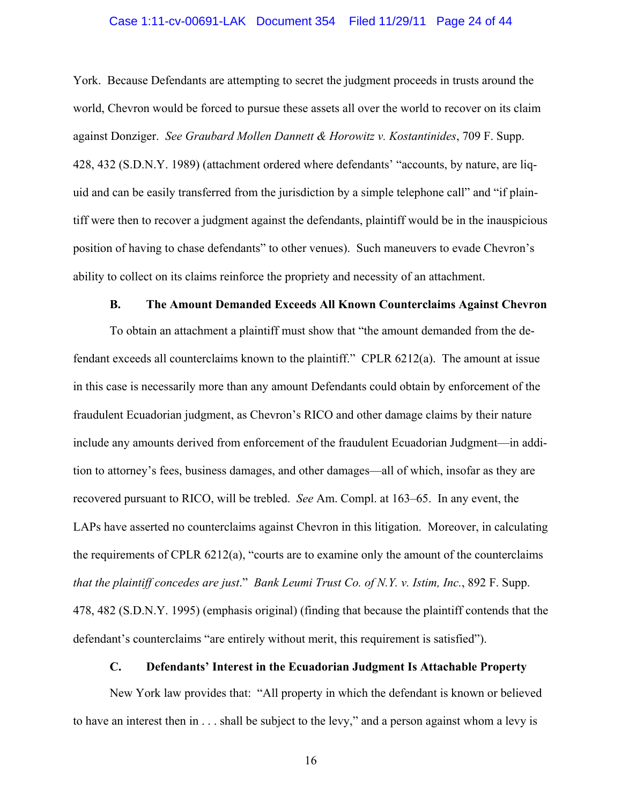#### Case 1:11-cv-00691-LAK Document 354 Filed 11/29/11 Page 24 of 44

York. Because Defendants are attempting to secret the judgment proceeds in trusts around the world, Chevron would be forced to pursue these assets all over the world to recover on its claim against Donziger. *See Graubard Mollen Dannett & Horowitz v. Kostantinides*, 709 F. Supp. 428, 432 (S.D.N.Y. 1989) (attachment ordered where defendants' "accounts, by nature, are liquid and can be easily transferred from the jurisdiction by a simple telephone call" and "if plaintiff were then to recover a judgment against the defendants, plaintiff would be in the inauspicious position of having to chase defendants" to other venues). Such maneuvers to evade Chevron's ability to collect on its claims reinforce the propriety and necessity of an attachment.

#### **B. The Amount Demanded Exceeds All Known Counterclaims Against Chevron**

To obtain an attachment a plaintiff must show that "the amount demanded from the defendant exceeds all counterclaims known to the plaintiff." CPLR 6212(a). The amount at issue in this case is necessarily more than any amount Defendants could obtain by enforcement of the fraudulent Ecuadorian judgment, as Chevron's RICO and other damage claims by their nature include any amounts derived from enforcement of the fraudulent Ecuadorian Judgment—in addition to attorney's fees, business damages, and other damages—all of which, insofar as they are recovered pursuant to RICO, will be trebled. *See* Am. Compl. at 163–65. In any event, the LAPs have asserted no counterclaims against Chevron in this litigation. Moreover, in calculating the requirements of CPLR 6212(a), "courts are to examine only the amount of the counterclaims *that the plaintiff concedes are just*." *Bank Leumi Trust Co. of N.Y. v. Istim, Inc.*, 892 F. Supp. 478, 482 (S.D.N.Y. 1995) (emphasis original) (finding that because the plaintiff contends that the defendant's counterclaims "are entirely without merit, this requirement is satisfied").

## **C. Defendants' Interest in the Ecuadorian Judgment Is Attachable Property**

New York law provides that: "All property in which the defendant is known or believed to have an interest then in . . . shall be subject to the levy," and a person against whom a levy is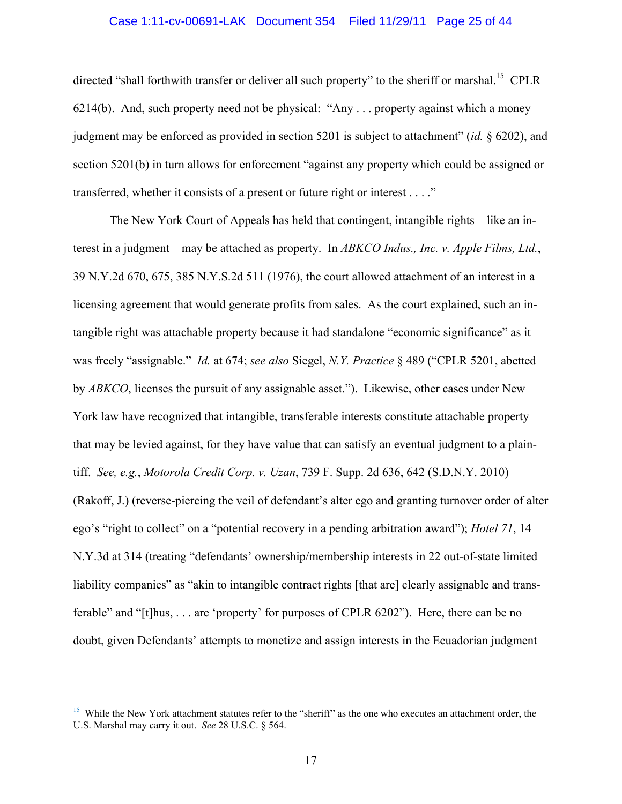## Case 1:11-cv-00691-LAK Document 354 Filed 11/29/11 Page 25 of 44

directed "shall forthwith transfer or deliver all such property" to the sheriff or marshal.<sup>15</sup> CPLR 6214(b). And, such property need not be physical: "Any . . . property against which a money judgment may be enforced as provided in section 5201 is subject to attachment" (*id.* § 6202), and section 5201(b) in turn allows for enforcement "against any property which could be assigned or transferred, whether it consists of a present or future right or interest . . . ."

The New York Court of Appeals has held that contingent, intangible rights—like an interest in a judgment—may be attached as property. In *ABKCO Indus., Inc. v. Apple Films, Ltd.*, 39 N.Y.2d 670, 675, 385 N.Y.S.2d 511 (1976), the court allowed attachment of an interest in a licensing agreement that would generate profits from sales. As the court explained, such an intangible right was attachable property because it had standalone "economic significance" as it was freely "assignable." *Id.* at 674; *see also* Siegel, *N.Y. Practice* § 489 ("CPLR 5201, abetted by *ABKCO*, licenses the pursuit of any assignable asset."). Likewise, other cases under New York law have recognized that intangible, transferable interests constitute attachable property that may be levied against, for they have value that can satisfy an eventual judgment to a plaintiff. *See, e.g.*, *Motorola Credit Corp. v. Uzan*, 739 F. Supp. 2d 636, 642 (S.D.N.Y. 2010) (Rakoff, J.) (reverse-piercing the veil of defendant's alter ego and granting turnover order of alter ego's "right to collect" on a "potential recovery in a pending arbitration award"); *Hotel 71*, 14 N.Y.3d at 314 (treating "defendants' ownership/membership interests in 22 out-of-state limited liability companies" as "akin to intangible contract rights [that are] clearly assignable and transferable" and "[t]hus, . . . are 'property' for purposes of CPLR 6202"). Here, there can be no doubt, given Defendants' attempts to monetize and assign interests in the Ecuadorian judgment

<sup>&</sup>lt;sup>15</sup> While the New York attachment statutes refer to the "sheriff" as the one who executes an attachment order, the U.S. Marshal may carry it out. *See* 28 U.S.C. § 564.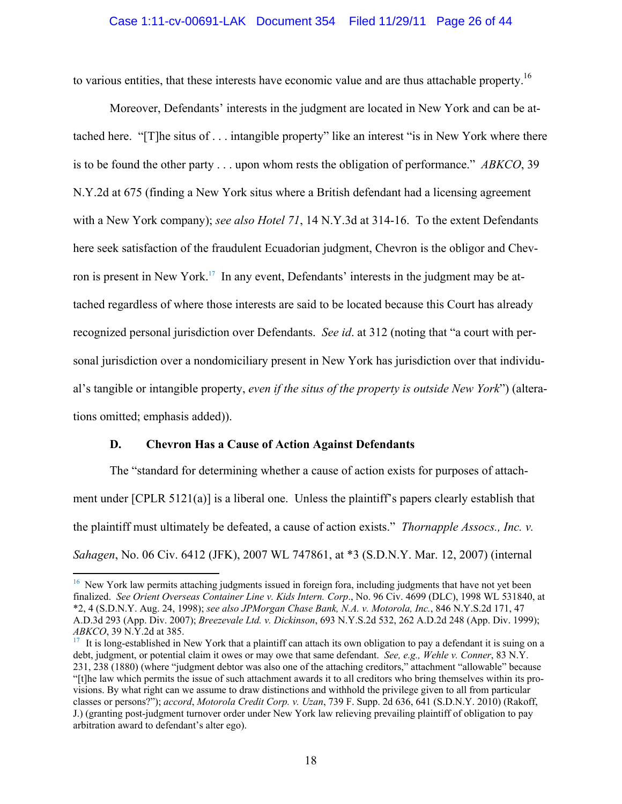to various entities, that these interests have economic value and are thus attachable property.<sup>16</sup>

Moreover, Defendants' interests in the judgment are located in New York and can be attached here. "[T]he situs of . . . intangible property" like an interest "is in New York where there is to be found the other party . . . upon whom rests the obligation of performance." *ABKCO*, 39 N.Y.2d at 675 (finding a New York situs where a British defendant had a licensing agreement with a New York company); *see also Hotel 71*, 14 N.Y.3d at 314-16. To the extent Defendants here seek satisfaction of the fraudulent Ecuadorian judgment, Chevron is the obligor and Chevron is present in New York.<sup>17</sup> In any event, Defendants' interests in the judgment may be attached regardless of where those interests are said to be located because this Court has already recognized personal jurisdiction over Defendants. *See id*. at 312 (noting that "a court with personal jurisdiction over a nondomiciliary present in New York has jurisdiction over that individual's tangible or intangible property, *even if the situs of the property is outside New York*") (alterations omitted; emphasis added)).

## **D. Chevron Has a Cause of Action Against Defendants**

 $\overline{a}$ 

The "standard for determining whether a cause of action exists for purposes of attachment under [CPLR 5121(a)] is a liberal one. Unless the plaintiff's papers clearly establish that the plaintiff must ultimately be defeated, a cause of action exists." *Thornapple Assocs., Inc. v. Sahagen*, No. 06 Civ. 6412 (JFK), 2007 WL 747861, at \*3 (S.D.N.Y. Mar. 12, 2007) (internal

<sup>&</sup>lt;sup>16</sup> New York law permits attaching judgments issued in foreign fora, including judgments that have not yet been finalized. *See Orient Overseas Container Line v. Kids Intern. Corp*., No. 96 Civ. 4699 (DLC), 1998 WL 531840, at \*2, 4 (S.D.N.Y. Aug. 24, 1998); *see also JPMorgan Chase Bank, N.A. v. Motorola, Inc.*, 846 N.Y.S.2d 171, 47 A.D.3d 293 (App. Div. 2007); *Breezevale Ltd. v. Dickinson*, 693 N.Y.S.2d 532, 262 A.D.2d 248 (App. Div. 1999);

<sup>&</sup>lt;sup>17</sup> It is long-established in New York that a plaintiff can attach its own obligation to pay a defendant it is suing on a debt, judgment, or potential claim it owes or may owe that same defendant. *See, e.g., Wehle v. Conner*, 83 N.Y. 231, 238 (1880) (where "judgment debtor was also one of the attaching creditors," attachment "allowable" because "[t]he law which permits the issue of such attachment awards it to all creditors who bring themselves within its provisions. By what right can we assume to draw distinctions and withhold the privilege given to all from particular classes or persons?"); *accord*, *Motorola Credit Corp. v. Uzan*, 739 F. Supp. 2d 636, 641 (S.D.N.Y. 2010) (Rakoff, J.) (granting post-judgment turnover order under New York law relieving prevailing plaintiff of obligation to pay arbitration award to defendant's alter ego).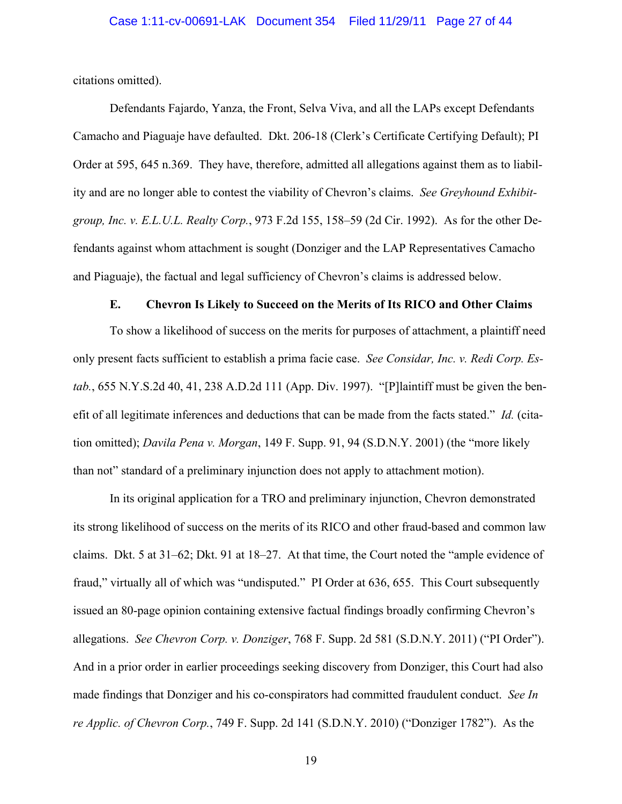citations omitted).

Defendants Fajardo, Yanza, the Front, Selva Viva, and all the LAPs except Defendants Camacho and Piaguaje have defaulted. Dkt. 206-18 (Clerk's Certificate Certifying Default); PI Order at 595, 645 n.369. They have, therefore, admitted all allegations against them as to liability and are no longer able to contest the viability of Chevron's claims. *See Greyhound Exhibitgroup, Inc. v. E.L.U.L. Realty Corp.*, 973 F.2d 155, 158–59 (2d Cir. 1992). As for the other Defendants against whom attachment is sought (Donziger and the LAP Representatives Camacho and Piaguaje), the factual and legal sufficiency of Chevron's claims is addressed below.

## **E. Chevron Is Likely to Succeed on the Merits of Its RICO and Other Claims**

To show a likelihood of success on the merits for purposes of attachment, a plaintiff need only present facts sufficient to establish a prima facie case. *See Considar, Inc. v. Redi Corp. Estab.*, 655 N.Y.S.2d 40, 41, 238 A.D.2d 111 (App. Div. 1997). "[P]laintiff must be given the benefit of all legitimate inferences and deductions that can be made from the facts stated." *Id.* (citation omitted); *Davila Pena v. Morgan*, 149 F. Supp. 91, 94 (S.D.N.Y. 2001) (the "more likely than not" standard of a preliminary injunction does not apply to attachment motion).

In its original application for a TRO and preliminary injunction, Chevron demonstrated its strong likelihood of success on the merits of its RICO and other fraud-based and common law claims. Dkt. 5 at 31–62; Dkt. 91 at 18–27. At that time, the Court noted the "ample evidence of fraud," virtually all of which was "undisputed." PI Order at 636, 655. This Court subsequently issued an 80-page opinion containing extensive factual findings broadly confirming Chevron's allegations. *See Chevron Corp. v. Donziger*, 768 F. Supp. 2d 581 (S.D.N.Y. 2011) ("PI Order"). And in a prior order in earlier proceedings seeking discovery from Donziger, this Court had also made findings that Donziger and his co-conspirators had committed fraudulent conduct. *See In re Applic. of Chevron Corp.*, 749 F. Supp. 2d 141 (S.D.N.Y. 2010) ("Donziger 1782"). As the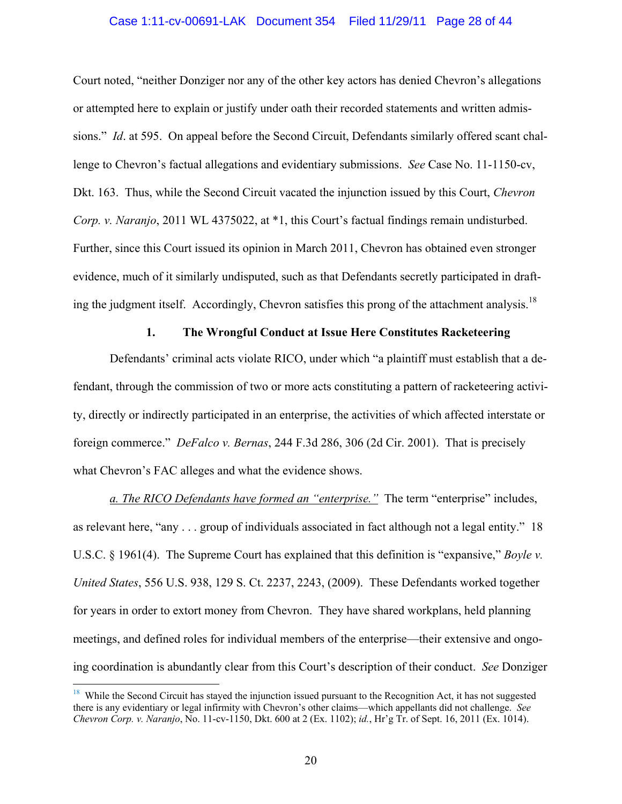## Case 1:11-cv-00691-LAK Document 354 Filed 11/29/11 Page 28 of 44

Court noted, "neither Donziger nor any of the other key actors has denied Chevron's allegations or attempted here to explain or justify under oath their recorded statements and written admissions." *Id*. at 595. On appeal before the Second Circuit, Defendants similarly offered scant challenge to Chevron's factual allegations and evidentiary submissions. *See* Case No. 11-1150-cv, Dkt. 163. Thus, while the Second Circuit vacated the injunction issued by this Court, *Chevron Corp. v. Naranjo*, 2011 WL 4375022, at \*1, this Court's factual findings remain undisturbed. Further, since this Court issued its opinion in March 2011, Chevron has obtained even stronger evidence, much of it similarly undisputed, such as that Defendants secretly participated in drafting the judgment itself. Accordingly, Chevron satisfies this prong of the attachment analysis.<sup>18</sup>

## **1. The Wrongful Conduct at Issue Here Constitutes Racketeering**

Defendants' criminal acts violate RICO, under which "a plaintiff must establish that a defendant, through the commission of two or more acts constituting a pattern of racketeering activity, directly or indirectly participated in an enterprise, the activities of which affected interstate or foreign commerce." *DeFalco v. Bernas*, 244 F.3d 286, 306 (2d Cir. 2001). That is precisely what Chevron's FAC alleges and what the evidence shows.

*a. The RICO Defendants have formed an "enterprise."* The term "enterprise" includes, as relevant here, "any . . . group of individuals associated in fact although not a legal entity." 18 U.S.C. § 1961(4). The Supreme Court has explained that this definition is "expansive," *Boyle v. United States*, 556 U.S. 938, 129 S. Ct. 2237, 2243, (2009). These Defendants worked together for years in order to extort money from Chevron. They have shared workplans, held planning meetings, and defined roles for individual members of the enterprise—their extensive and ongoing coordination is abundantly clear from this Court's description of their conduct. *See* Donziger

 $\overline{a}$ 

 $18$  While the Second Circuit has stayed the injunction issued pursuant to the Recognition Act, it has not suggested there is any evidentiary or legal infirmity with Chevron's other claims—which appellants did not challenge. *See Chevron Corp. v. Naranjo*, No. 11-cv-1150, Dkt. 600 at 2 (Ex. 1102); *id.*, Hr'g Tr. of Sept. 16, 2011 (Ex. 1014).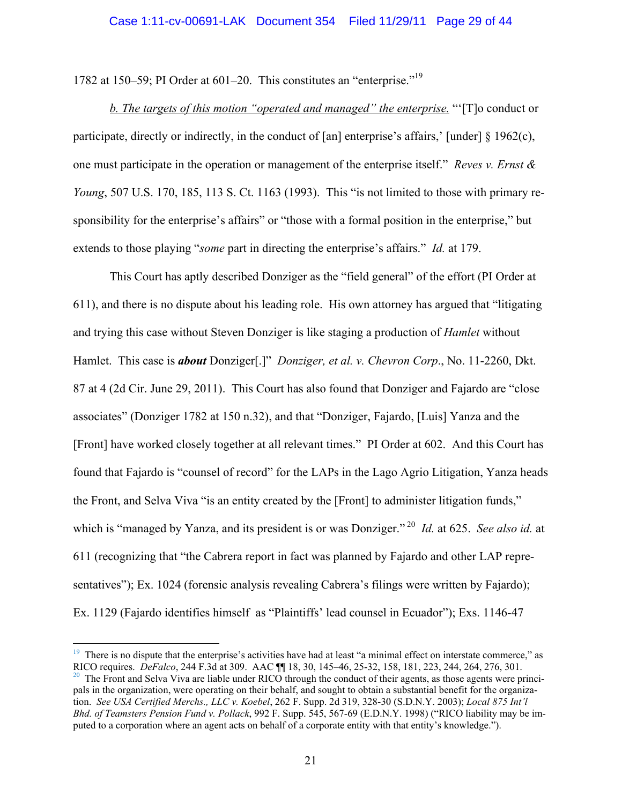1782 at 150–59; PI Order at 601–20. This constitutes an "enterprise."19

*b. The targets of this motion "operated and managed" the enterprise.* "'[T]o conduct or participate, directly or indirectly, in the conduct of [an] enterprise's affairs,' [under]  $\S 1962(c)$ , one must participate in the operation or management of the enterprise itself." *Reves v. Ernst & Young*, 507 U.S. 170, 185, 113 S. Ct. 1163 (1993). This "is not limited to those with primary responsibility for the enterprise's affairs" or "those with a formal position in the enterprise," but extends to those playing "*some* part in directing the enterprise's affairs." *Id.* at 179.

This Court has aptly described Donziger as the "field general" of the effort (PI Order at 611), and there is no dispute about his leading role. His own attorney has argued that "litigating and trying this case without Steven Donziger is like staging a production of *Hamlet* without Hamlet. This case is *about* Donziger[.]" *Donziger, et al. v. Chevron Corp*., No. 11-2260, Dkt. 87 at 4 (2d Cir. June 29, 2011). This Court has also found that Donziger and Fajardo are "close associates" (Donziger 1782 at 150 n.32), and that "Donziger, Fajardo, [Luis] Yanza and the [Front] have worked closely together at all relevant times." PI Order at 602. And this Court has found that Fajardo is "counsel of record" for the LAPs in the Lago Agrio Litigation, Yanza heads the Front, and Selva Viva "is an entity created by the [Front] to administer litigation funds," which is "managed by Yanza, and its president is or was Donziger."<sup>20</sup> *Id.* at 625. *See also id.* at 611 (recognizing that "the Cabrera report in fact was planned by Fajardo and other LAP representatives"); Ex. 1024 (forensic analysis revealing Cabrera's filings were written by Fajardo); Ex. 1129 (Fajardo identifies himself as "Plaintiffs' lead counsel in Ecuador"); Exs. 1146-47

<u>.</u>

 $19$  There is no dispute that the enterprise's activities have had at least "a minimal effect on interstate commerce," as RICO requires. *DeFalco*, 244 F.3d at 309. AAC  $\P$  18, 30, 145–46, 25-32, 158, 181, 223, 244, 264, 276, 301.<br><sup>20</sup> The Front and Selva Viva are liable under RICO through the conduct of their agents, as those agents were pr pals in the organization, were operating on their behalf, and sought to obtain a substantial benefit for the organization. *See USA Certified Merchs., LLC v. Koebel*, 262 F. Supp. 2d 319, 328-30 (S.D.N.Y. 2003); *Local 875 Int'l* 

*Bhd. of Teamsters Pension Fund v. Pollack*, 992 F. Supp. 545, 567-69 (E.D.N.Y. 1998) ("RICO liability may be imputed to a corporation where an agent acts on behalf of a corporate entity with that entity's knowledge.").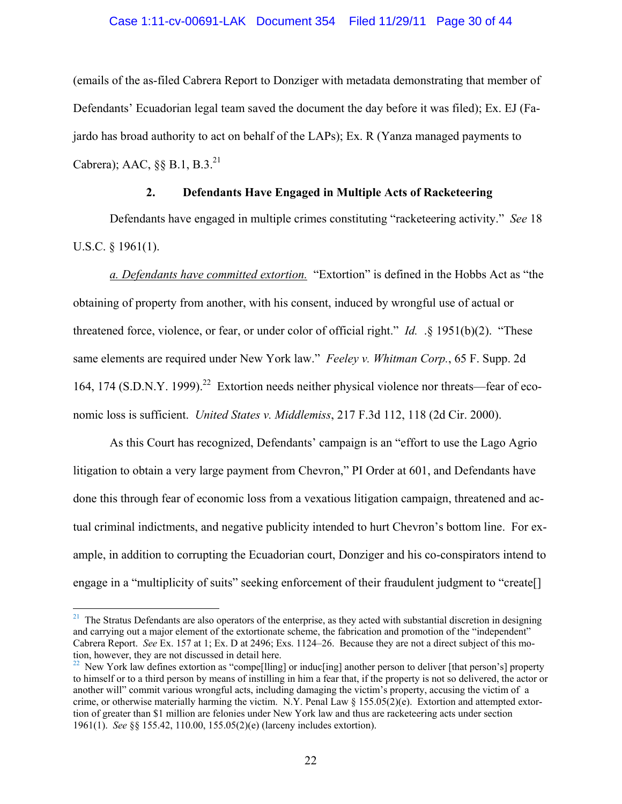## Case 1:11-cv-00691-LAK Document 354 Filed 11/29/11 Page 30 of 44

(emails of the as-filed Cabrera Report to Donziger with metadata demonstrating that member of Defendants' Ecuadorian legal team saved the document the day before it was filed); Ex. EJ (Fajardo has broad authority to act on behalf of the LAPs); Ex. R (Yanza managed payments to Cabrera); AAC,  $\S$ § B.1, B.3.<sup>21</sup>

## **2. Defendants Have Engaged in Multiple Acts of Racketeering**

Defendants have engaged in multiple crimes constituting "racketeering activity." *See* 18 U.S.C. § 1961(1).

*a. Defendants have committed extortion.* "Extortion" is defined in the Hobbs Act as "the obtaining of property from another, with his consent, induced by wrongful use of actual or threatened force, violence, or fear, or under color of official right." *Id.* .§ 1951(b)(2). "These same elements are required under New York law." *Feeley v. Whitman Corp.*, 65 F. Supp. 2d 164, 174 (S.D.N.Y. 1999).<sup>22</sup> Extortion needs neither physical violence nor threats—fear of economic loss is sufficient. *United States v. Middlemiss*, 217 F.3d 112, 118 (2d Cir. 2000).

As this Court has recognized, Defendants' campaign is an "effort to use the Lago Agrio litigation to obtain a very large payment from Chevron," PI Order at 601, and Defendants have done this through fear of economic loss from a vexatious litigation campaign, threatened and actual criminal indictments, and negative publicity intended to hurt Chevron's bottom line. For example, in addition to corrupting the Ecuadorian court, Donziger and his co-conspirators intend to engage in a "multiplicity of suits" seeking enforcement of their fraudulent judgment to "create<sup>[]</sup>

 $\overline{a}$ 

 $21$  The Stratus Defendants are also operators of the enterprise, as they acted with substantial discretion in designing and carrying out a major element of the extortionate scheme, the fabrication and promotion of the "independent" Cabrera Report. *See* Ex. 157 at 1; Ex. D at 2496; Exs. 1124–26. Because they are not a direct subject of this motion, however, they are not discussed in detail here.

 $^{22}$  New York law defines extortion as "compe[lling] or induc[ing] another person to deliver [that person's] property to himself or to a third person by means of instilling in him a fear that, if the property is not so delivered, the actor or another will" commit various wrongful acts, including damaging the victim's property, accusing the victim of a crime, or otherwise materially harming the victim. N.Y. Penal Law  $\S 155.05(2)(e)$ . Extortion and attempted extortion of greater than \$1 million are felonies under New York law and thus are racketeering acts under section 1961(1). *See* §§ 155.42, 110.00, 155.05(2)(e) (larceny includes extortion).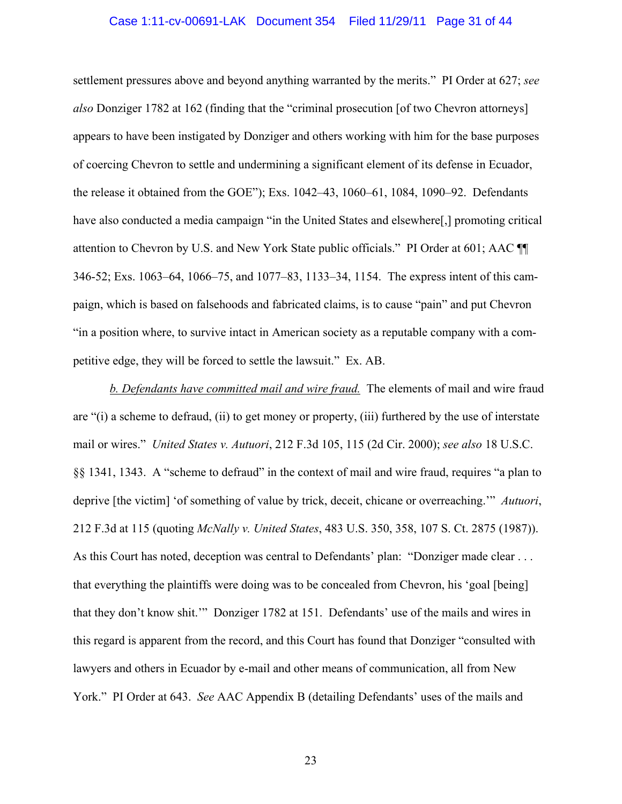#### Case 1:11-cv-00691-LAK Document 354 Filed 11/29/11 Page 31 of 44

settlement pressures above and beyond anything warranted by the merits." PI Order at 627; *see also* Donziger 1782 at 162 (finding that the "criminal prosecution [of two Chevron attorneys] appears to have been instigated by Donziger and others working with him for the base purposes of coercing Chevron to settle and undermining a significant element of its defense in Ecuador, the release it obtained from the GOE"); Exs. 1042–43, 1060–61, 1084, 1090–92. Defendants have also conducted a media campaign "in the United States and elsewhere[,] promoting critical attention to Chevron by U.S. and New York State public officials." PI Order at 601; AAC ¶¶ 346-52; Exs. 1063–64, 1066–75, and 1077–83, 1133–34, 1154. The express intent of this campaign, which is based on falsehoods and fabricated claims, is to cause "pain" and put Chevron "in a position where, to survive intact in American society as a reputable company with a competitive edge, they will be forced to settle the lawsuit." Ex. AB.

*b. Defendants have committed mail and wire fraud.* The elements of mail and wire fraud are "(i) a scheme to defraud, (ii) to get money or property, (iii) furthered by the use of interstate mail or wires." *United States v. Autuori*, 212 F.3d 105, 115 (2d Cir. 2000); *see also* 18 U.S.C. §§ 1341, 1343. A "scheme to defraud" in the context of mail and wire fraud, requires "a plan to deprive [the victim] 'of something of value by trick, deceit, chicane or overreaching.'" *Autuori*, 212 F.3d at 115 (quoting *McNally v. United States*, 483 U.S. 350, 358, 107 S. Ct. 2875 (1987)). As this Court has noted, deception was central to Defendants' plan: "Donziger made clear . . . that everything the plaintiffs were doing was to be concealed from Chevron, his 'goal [being] that they don't know shit.'" Donziger 1782 at 151. Defendants' use of the mails and wires in this regard is apparent from the record, and this Court has found that Donziger "consulted with lawyers and others in Ecuador by e-mail and other means of communication, all from New York." PI Order at 643. *See* AAC Appendix B (detailing Defendants' uses of the mails and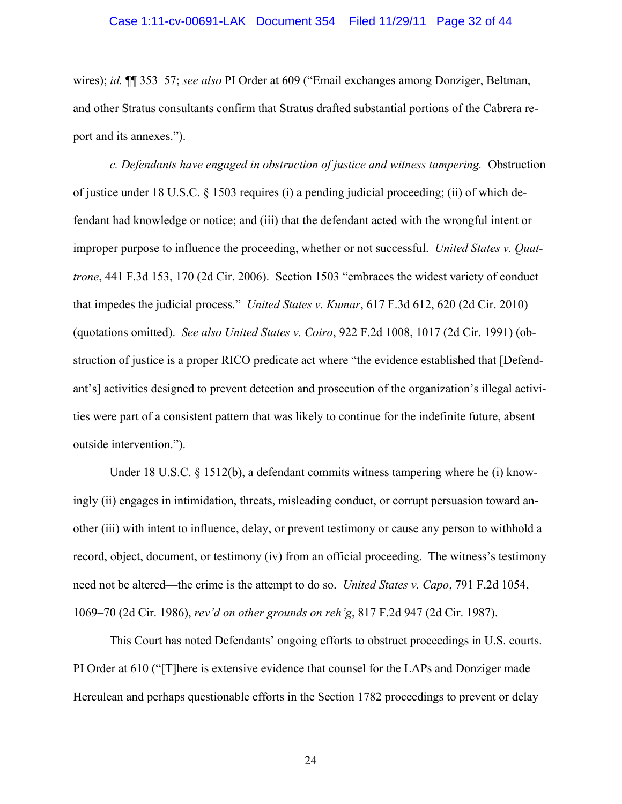wires); *id.* ¶¶ 353–57; *see also* PI Order at 609 ("Email exchanges among Donziger, Beltman, and other Stratus consultants confirm that Stratus drafted substantial portions of the Cabrera report and its annexes.").

*c. Defendants have engaged in obstruction of justice and witness tampering.* Obstruction of justice under 18 U.S.C. § 1503 requires (i) a pending judicial proceeding; (ii) of which defendant had knowledge or notice; and (iii) that the defendant acted with the wrongful intent or improper purpose to influence the proceeding, whether or not successful. *United States v. Quattrone*, 441 F.3d 153, 170 (2d Cir. 2006). Section 1503 "embraces the widest variety of conduct that impedes the judicial process." *United States v. Kumar*, 617 F.3d 612, 620 (2d Cir. 2010) (quotations omitted). *See also United States v. Coiro*, 922 F.2d 1008, 1017 (2d Cir. 1991) (obstruction of justice is a proper RICO predicate act where "the evidence established that [Defendant's] activities designed to prevent detection and prosecution of the organization's illegal activities were part of a consistent pattern that was likely to continue for the indefinite future, absent outside intervention.").

Under 18 U.S.C. § 1512(b), a defendant commits witness tampering where he (i) knowingly (ii) engages in intimidation, threats, misleading conduct, or corrupt persuasion toward another (iii) with intent to influence, delay, or prevent testimony or cause any person to withhold a record, object, document, or testimony (iv) from an official proceeding. The witness's testimony need not be altered—the crime is the attempt to do so. *United States v. Capo*, 791 F.2d 1054, 1069–70 (2d Cir. 1986), *rev'd on other grounds on reh'g*, 817 F.2d 947 (2d Cir. 1987).

This Court has noted Defendants' ongoing efforts to obstruct proceedings in U.S. courts. PI Order at 610 ("[T]here is extensive evidence that counsel for the LAPs and Donziger made Herculean and perhaps questionable efforts in the Section 1782 proceedings to prevent or delay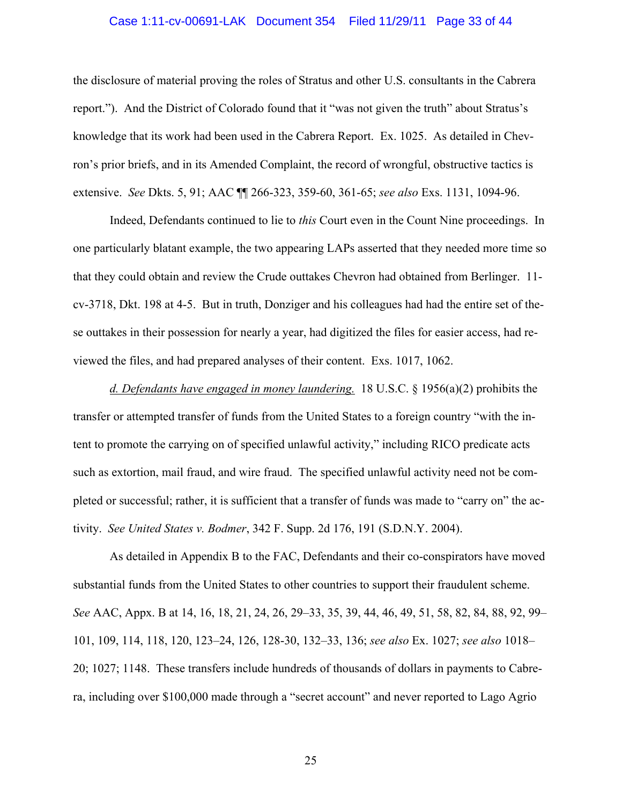#### Case 1:11-cv-00691-LAK Document 354 Filed 11/29/11 Page 33 of 44

the disclosure of material proving the roles of Stratus and other U.S. consultants in the Cabrera report."). And the District of Colorado found that it "was not given the truth" about Stratus's knowledge that its work had been used in the Cabrera Report. Ex. 1025. As detailed in Chevron's prior briefs, and in its Amended Complaint, the record of wrongful, obstructive tactics is extensive. *See* Dkts. 5, 91; AAC ¶¶ 266-323, 359-60, 361-65; *see also* Exs. 1131, 1094-96.

Indeed, Defendants continued to lie to *this* Court even in the Count Nine proceedings. In one particularly blatant example, the two appearing LAPs asserted that they needed more time so that they could obtain and review the Crude outtakes Chevron had obtained from Berlinger. 11 cv-3718, Dkt. 198 at 4-5. But in truth, Donziger and his colleagues had had the entire set of these outtakes in their possession for nearly a year, had digitized the files for easier access, had reviewed the files, and had prepared analyses of their content. Exs. 1017, 1062.

*d. Defendants have engaged in money laundering.* 18 U.S.C. § 1956(a)(2) prohibits the transfer or attempted transfer of funds from the United States to a foreign country "with the intent to promote the carrying on of specified unlawful activity," including RICO predicate acts such as extortion, mail fraud, and wire fraud. The specified unlawful activity need not be completed or successful; rather, it is sufficient that a transfer of funds was made to "carry on" the activity. *See United States v. Bodmer*, 342 F. Supp. 2d 176, 191 (S.D.N.Y. 2004).

As detailed in Appendix B to the FAC, Defendants and their co-conspirators have moved substantial funds from the United States to other countries to support their fraudulent scheme. *See* AAC, Appx. B at 14, 16, 18, 21, 24, 26, 29–33, 35, 39, 44, 46, 49, 51, 58, 82, 84, 88, 92, 99– 101, 109, 114, 118, 120, 123–24, 126, 128-30, 132–33, 136; *see also* Ex. 1027; *see also* 1018– 20; 1027; 1148. These transfers include hundreds of thousands of dollars in payments to Cabrera, including over \$100,000 made through a "secret account" and never reported to Lago Agrio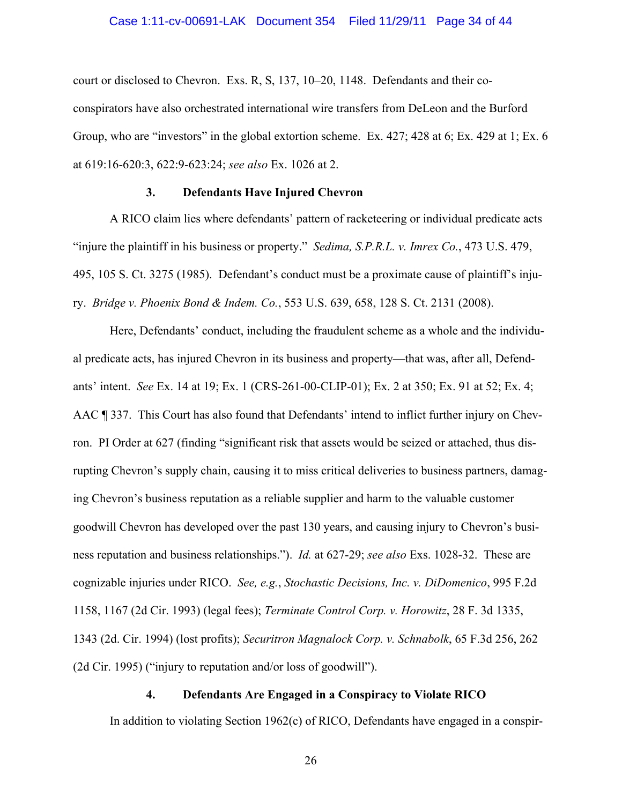#### Case 1:11-cv-00691-LAK Document 354 Filed 11/29/11 Page 34 of 44

court or disclosed to Chevron. Exs. R, S, 137, 10–20, 1148. Defendants and their coconspirators have also orchestrated international wire transfers from DeLeon and the Burford Group, who are "investors" in the global extortion scheme. Ex. 427; 428 at 6; Ex. 429 at 1; Ex. 6 at 619:16-620:3, 622:9-623:24; *see also* Ex. 1026 at 2.

## **3. Defendants Have Injured Chevron**

A RICO claim lies where defendants' pattern of racketeering or individual predicate acts "injure the plaintiff in his business or property." *Sedima, S.P.R.L. v. Imrex Co.*, 473 U.S. 479, 495, 105 S. Ct. 3275 (1985). Defendant's conduct must be a proximate cause of plaintiff's injury. *Bridge v. Phoenix Bond & Indem. Co.*, 553 U.S. 639, 658, 128 S. Ct. 2131 (2008).

Here, Defendants' conduct, including the fraudulent scheme as a whole and the individual predicate acts, has injured Chevron in its business and property—that was, after all, Defendants' intent. *See* Ex. 14 at 19; Ex. 1 (CRS-261-00-CLIP-01); Ex. 2 at 350; Ex. 91 at 52; Ex. 4; AAC ¶ 337. This Court has also found that Defendants' intend to inflict further injury on Chevron. PI Order at 627 (finding "significant risk that assets would be seized or attached, thus disrupting Chevron's supply chain, causing it to miss critical deliveries to business partners, damaging Chevron's business reputation as a reliable supplier and harm to the valuable customer goodwill Chevron has developed over the past 130 years, and causing injury to Chevron's business reputation and business relationships."). *Id.* at 627-29; *see also* Exs. 1028-32. These are cognizable injuries under RICO. *See, e.g.*, *Stochastic Decisions, Inc. v. DiDomenico*, 995 F.2d 1158, 1167 (2d Cir. 1993) (legal fees); *Terminate Control Corp. v. Horowitz*, 28 F. 3d 1335, 1343 (2d. Cir. 1994) (lost profits); *Securitron Magnalock Corp. v. Schnabolk*, 65 F.3d 256, 262 (2d Cir. 1995) ("injury to reputation and/or loss of goodwill").

## **4. Defendants Are Engaged in a Conspiracy to Violate RICO**

In addition to violating Section 1962(c) of RICO, Defendants have engaged in a conspir-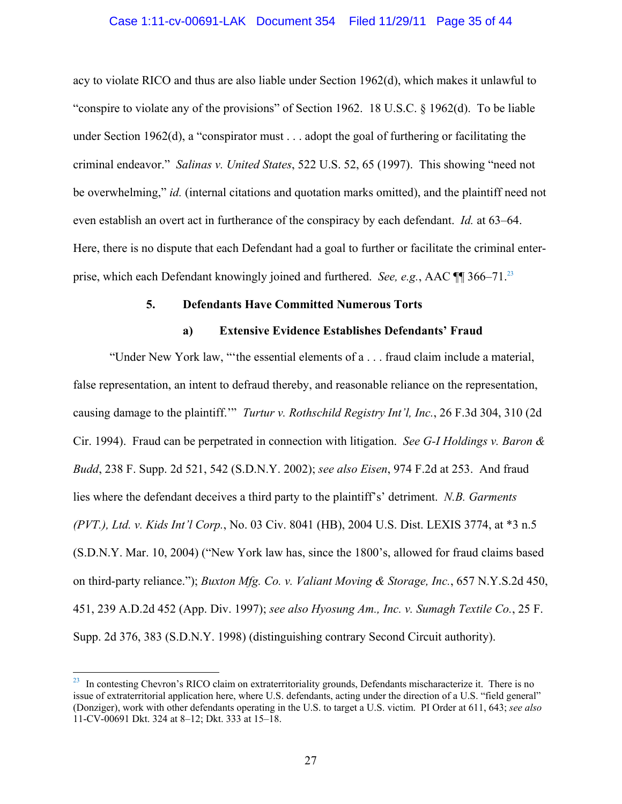## Case 1:11-cv-00691-LAK Document 354 Filed 11/29/11 Page 35 of 44

acy to violate RICO and thus are also liable under Section 1962(d), which makes it unlawful to "conspire to violate any of the provisions" of Section 1962. 18 U.S.C. § 1962(d). To be liable under Section 1962(d), a "conspirator must . . . adopt the goal of furthering or facilitating the criminal endeavor." *Salinas v. United States*, 522 U.S. 52, 65 (1997). This showing "need not be overwhelming," *id.* (internal citations and quotation marks omitted), and the plaintiff need not even establish an overt act in furtherance of the conspiracy by each defendant. *Id.* at 63–64. Here, there is no dispute that each Defendant had a goal to further or facilitate the criminal enterprise, which each Defendant knowingly joined and furthered. *See, e.g.*, AAC ¶¶ 366–71.23

## **5. Defendants Have Committed Numerous Torts**

## **a) Extensive Evidence Establishes Defendants' Fraud**

"Under New York law, "'the essential elements of a . . . fraud claim include a material, false representation, an intent to defraud thereby, and reasonable reliance on the representation, causing damage to the plaintiff.'" *Turtur v. Rothschild Registry Int'l, Inc.*, 26 F.3d 304, 310 (2d Cir. 1994). Fraud can be perpetrated in connection with litigation. *See G-I Holdings v. Baron & Budd*, 238 F. Supp. 2d 521, 542 (S.D.N.Y. 2002); *see also Eisen*, 974 F.2d at 253. And fraud lies where the defendant deceives a third party to the plaintiff's' detriment. *N.B. Garments (PVT.), Ltd. v. Kids Int'l Corp.*, No. 03 Civ. 8041 (HB), 2004 U.S. Dist. LEXIS 3774, at \*3 n.5 (S.D.N.Y. Mar. 10, 2004) ("New York law has, since the 1800's, allowed for fraud claims based on third-party reliance."); *Buxton Mfg. Co. v. Valiant Moving & Storage, Inc.*, 657 N.Y.S.2d 450, 451, 239 A.D.2d 452 (App. Div. 1997); *see also Hyosung Am., Inc. v. Sumagh Textile Co.*, 25 F. Supp. 2d 376, 383 (S.D.N.Y. 1998) (distinguishing contrary Second Circuit authority).

 $\overline{a}$ 

<sup>&</sup>lt;sup>23</sup> In contesting Chevron's RICO claim on extraterritoriality grounds, Defendants mischaracterize it. There is no issue of extraterritorial application here, where U.S. defendants, acting under the direction of a U.S. "field general" (Donziger), work with other defendants operating in the U.S. to target a U.S. victim. PI Order at 611, 643; *see also* 11-CV-00691 Dkt. 324 at 8–12; Dkt. 333 at 15–18.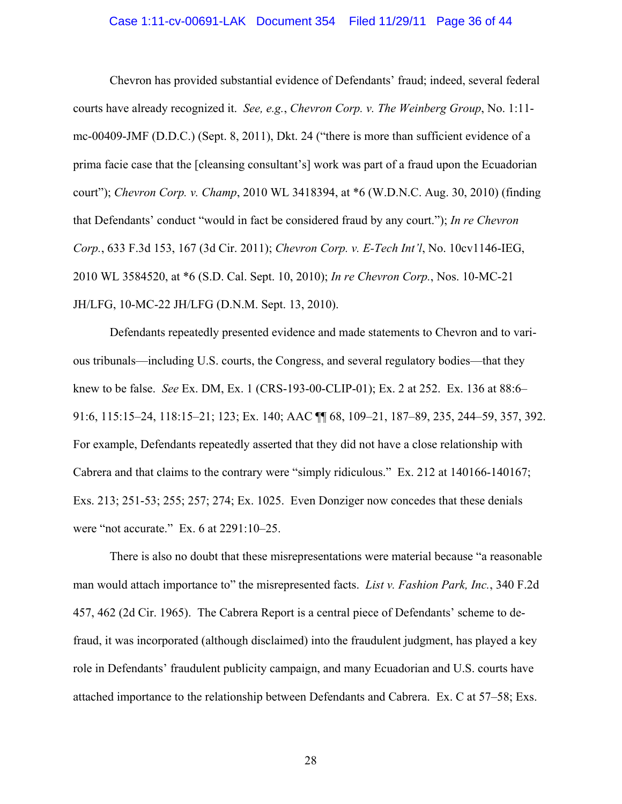#### Case 1:11-cv-00691-LAK Document 354 Filed 11/29/11 Page 36 of 44

Chevron has provided substantial evidence of Defendants' fraud; indeed, several federal courts have already recognized it. *See, e.g.*, *Chevron Corp. v. The Weinberg Group*, No. 1:11 mc-00409-JMF (D.D.C.) (Sept. 8, 2011), Dkt. 24 ("there is more than sufficient evidence of a prima facie case that the [cleansing consultant's] work was part of a fraud upon the Ecuadorian court"); *Chevron Corp. v. Champ*, 2010 WL 3418394, at \*6 (W.D.N.C. Aug. 30, 2010) (finding that Defendants' conduct "would in fact be considered fraud by any court."); *In re Chevron Corp.*, 633 F.3d 153, 167 (3d Cir. 2011); *Chevron Corp. v. E-Tech Int'l*, No. 10cv1146-IEG, 2010 WL 3584520, at \*6 (S.D. Cal. Sept. 10, 2010); *In re Chevron Corp.*, Nos. 10-MC-21 JH/LFG, 10-MC-22 JH/LFG (D.N.M. Sept. 13, 2010).

Defendants repeatedly presented evidence and made statements to Chevron and to various tribunals—including U.S. courts, the Congress, and several regulatory bodies—that they knew to be false. *See* Ex. DM, Ex. 1 (CRS-193-00-CLIP-01); Ex. 2 at 252. Ex. 136 at 88:6– 91:6, 115:15–24, 118:15–21; 123; Ex. 140; AAC ¶¶ 68, 109–21, 187–89, 235, 244–59, 357, 392. For example, Defendants repeatedly asserted that they did not have a close relationship with Cabrera and that claims to the contrary were "simply ridiculous." Ex. 212 at 140166-140167; Exs. 213; 251-53; 255; 257; 274; Ex. 1025. Even Donziger now concedes that these denials were "not accurate." Ex. 6 at 2291:10–25.

There is also no doubt that these misrepresentations were material because "a reasonable man would attach importance to" the misrepresented facts. *List v. Fashion Park, Inc.*, 340 F.2d 457, 462 (2d Cir. 1965). The Cabrera Report is a central piece of Defendants' scheme to defraud, it was incorporated (although disclaimed) into the fraudulent judgment, has played a key role in Defendants' fraudulent publicity campaign, and many Ecuadorian and U.S. courts have attached importance to the relationship between Defendants and Cabrera. Ex. C at 57–58; Exs.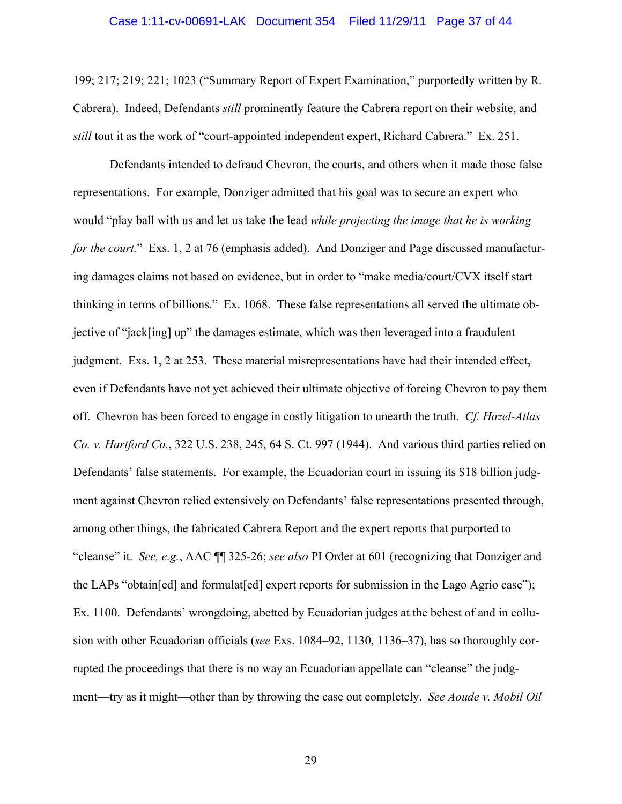199; 217; 219; 221; 1023 ("Summary Report of Expert Examination," purportedly written by R. Cabrera). Indeed, Defendants *still* prominently feature the Cabrera report on their website, and *still* tout it as the work of "court-appointed independent expert, Richard Cabrera." Ex. 251.

Defendants intended to defraud Chevron, the courts, and others when it made those false representations. For example, Donziger admitted that his goal was to secure an expert who would "play ball with us and let us take the lead *while projecting the image that he is working for the court.*" Exs. 1, 2 at 76 (emphasis added). And Donziger and Page discussed manufacturing damages claims not based on evidence, but in order to "make media/court/CVX itself start thinking in terms of billions." Ex. 1068. These false representations all served the ultimate objective of "jack[ing] up" the damages estimate, which was then leveraged into a fraudulent judgment. Exs. 1, 2 at 253. These material misrepresentations have had their intended effect, even if Defendants have not yet achieved their ultimate objective of forcing Chevron to pay them off. Chevron has been forced to engage in costly litigation to unearth the truth. *Cf. Hazel-Atlas Co. v. Hartford Co.*, 322 U.S. 238, 245, 64 S. Ct. 997 (1944). And various third parties relied on Defendants' false statements. For example, the Ecuadorian court in issuing its \$18 billion judgment against Chevron relied extensively on Defendants' false representations presented through, among other things, the fabricated Cabrera Report and the expert reports that purported to "cleanse" it. *See, e.g.*, AAC ¶¶ 325-26; *see also* PI Order at 601 (recognizing that Donziger and the LAPs "obtain[ed] and formulat[ed] expert reports for submission in the Lago Agrio case"); Ex. 1100. Defendants' wrongdoing, abetted by Ecuadorian judges at the behest of and in collusion with other Ecuadorian officials (*see* Exs. 1084–92, 1130, 1136–37), has so thoroughly corrupted the proceedings that there is no way an Ecuadorian appellate can "cleanse" the judgment—try as it might—other than by throwing the case out completely. *See Aoude v. Mobil Oil*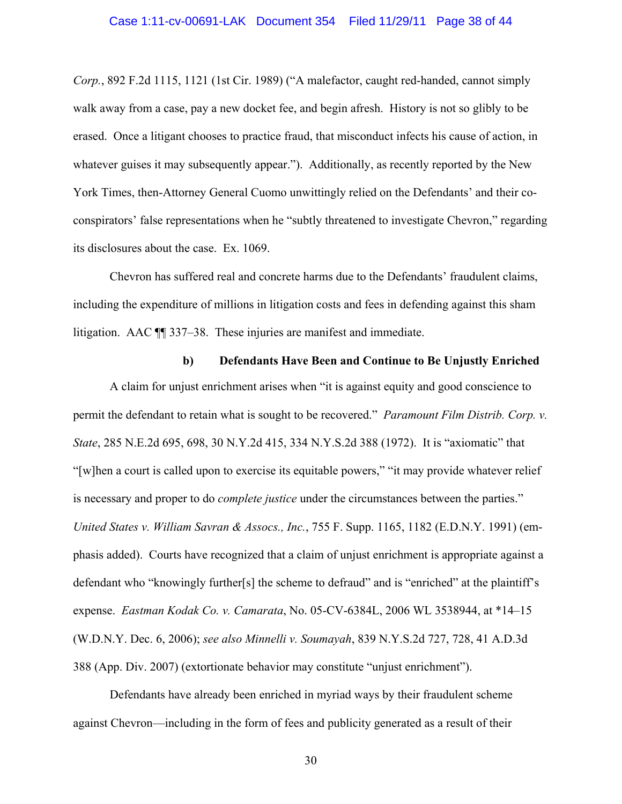#### Case 1:11-cv-00691-LAK Document 354 Filed 11/29/11 Page 38 of 44

*Corp.*, 892 F.2d 1115, 1121 (1st Cir. 1989) ("A malefactor, caught red-handed, cannot simply walk away from a case, pay a new docket fee, and begin afresh. History is not so glibly to be erased. Once a litigant chooses to practice fraud, that misconduct infects his cause of action, in whatever guises it may subsequently appear."). Additionally, as recently reported by the New York Times, then-Attorney General Cuomo unwittingly relied on the Defendants' and their coconspirators' false representations when he "subtly threatened to investigate Chevron," regarding its disclosures about the case. Ex. 1069.

Chevron has suffered real and concrete harms due to the Defendants' fraudulent claims, including the expenditure of millions in litigation costs and fees in defending against this sham litigation. AAC ¶¶ 337–38. These injuries are manifest and immediate.

#### **b) Defendants Have Been and Continue to Be Unjustly Enriched**

A claim for unjust enrichment arises when "it is against equity and good conscience to permit the defendant to retain what is sought to be recovered." *Paramount Film Distrib. Corp. v. State*, 285 N.E.2d 695, 698, 30 N.Y.2d 415, 334 N.Y.S.2d 388 (1972). It is "axiomatic" that "[w]hen a court is called upon to exercise its equitable powers," "it may provide whatever relief is necessary and proper to do *complete justice* under the circumstances between the parties." *United States v. William Savran & Assocs., Inc.*, 755 F. Supp. 1165, 1182 (E.D.N.Y. 1991) (emphasis added). Courts have recognized that a claim of unjust enrichment is appropriate against a defendant who "knowingly further[s] the scheme to defraud" and is "enriched" at the plaintiff's expense. *Eastman Kodak Co. v. Camarata*, No. 05-CV-6384L, 2006 WL 3538944, at \*14–15 (W.D.N.Y. Dec. 6, 2006); *see also Minnelli v. Soumayah*, 839 N.Y.S.2d 727, 728, 41 A.D.3d 388 (App. Div. 2007) (extortionate behavior may constitute "unjust enrichment").

Defendants have already been enriched in myriad ways by their fraudulent scheme against Chevron—including in the form of fees and publicity generated as a result of their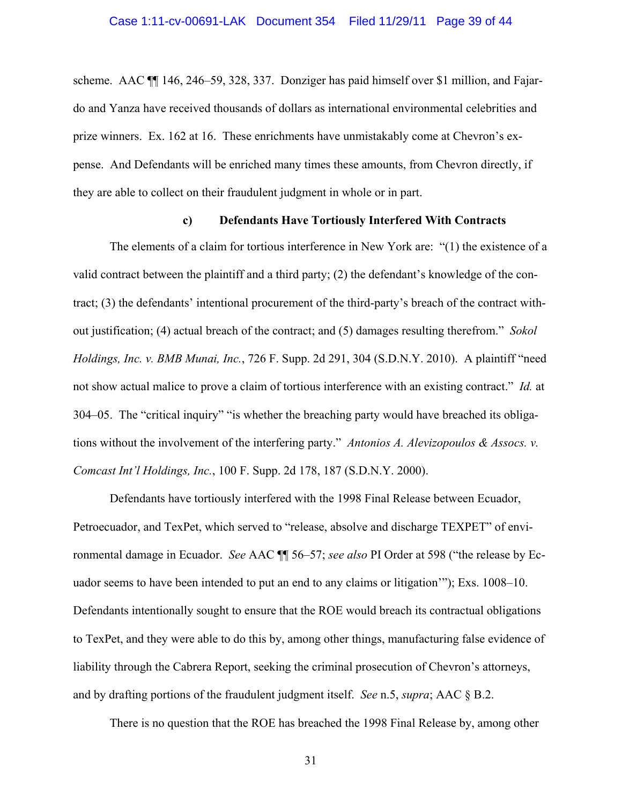scheme. AAC ¶¶ 146, 246–59, 328, 337. Donziger has paid himself over \$1 million, and Fajardo and Yanza have received thousands of dollars as international environmental celebrities and prize winners. Ex. 162 at 16. These enrichments have unmistakably come at Chevron's expense. And Defendants will be enriched many times these amounts, from Chevron directly, if they are able to collect on their fraudulent judgment in whole or in part.

#### **c) Defendants Have Tortiously Interfered With Contracts**

The elements of a claim for tortious interference in New York are: "(1) the existence of a valid contract between the plaintiff and a third party; (2) the defendant's knowledge of the contract; (3) the defendants' intentional procurement of the third-party's breach of the contract without justification; (4) actual breach of the contract; and (5) damages resulting therefrom." *Sokol Holdings, Inc. v. BMB Munai, Inc.*, 726 F. Supp. 2d 291, 304 (S.D.N.Y. 2010). A plaintiff "need not show actual malice to prove a claim of tortious interference with an existing contract." *Id.* at 304–05. The "critical inquiry" "is whether the breaching party would have breached its obligations without the involvement of the interfering party." *Antonios A. Alevizopoulos & Assocs. v. Comcast Int'l Holdings, Inc.*, 100 F. Supp. 2d 178, 187 (S.D.N.Y. 2000).

Defendants have tortiously interfered with the 1998 Final Release between Ecuador, Petroecuador, and TexPet, which served to "release, absolve and discharge TEXPET" of environmental damage in Ecuador. *See* AAC ¶¶ 56–57; *see also* PI Order at 598 ("the release by Ecuador seems to have been intended to put an end to any claims or litigation'"); Exs. 1008–10. Defendants intentionally sought to ensure that the ROE would breach its contractual obligations to TexPet, and they were able to do this by, among other things, manufacturing false evidence of liability through the Cabrera Report, seeking the criminal prosecution of Chevron's attorneys, and by drafting portions of the fraudulent judgment itself. *See* n.5, *supra*; AAC § B.2.

There is no question that the ROE has breached the 1998 Final Release by, among other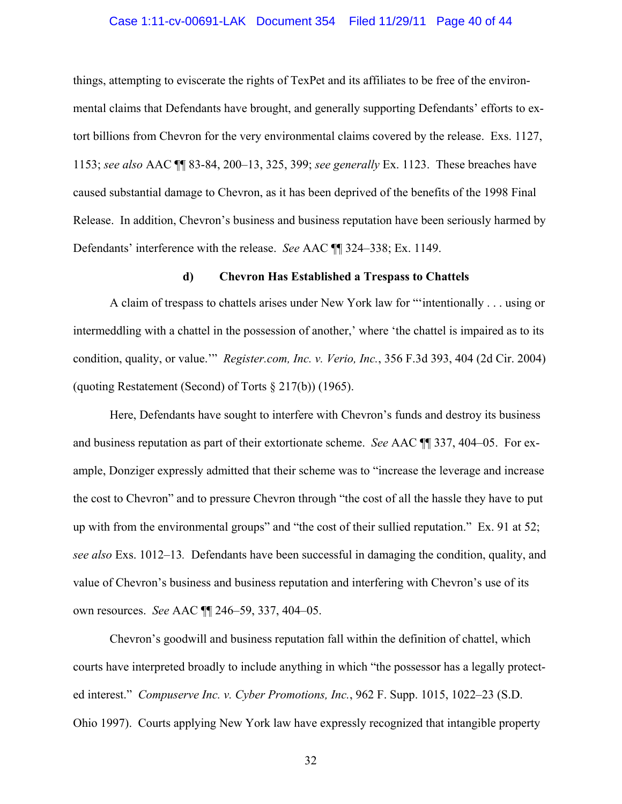#### Case 1:11-cv-00691-LAK Document 354 Filed 11/29/11 Page 40 of 44

things, attempting to eviscerate the rights of TexPet and its affiliates to be free of the environmental claims that Defendants have brought, and generally supporting Defendants' efforts to extort billions from Chevron for the very environmental claims covered by the release. Exs. 1127, 1153; *see also* AAC ¶¶ 83-84, 200–13, 325, 399; *see generally* Ex. 1123. These breaches have caused substantial damage to Chevron, as it has been deprived of the benefits of the 1998 Final Release. In addition, Chevron's business and business reputation have been seriously harmed by Defendants' interference with the release. *See* AAC ¶¶ 324–338; Ex. 1149.

#### **d) Chevron Has Established a Trespass to Chattels**

A claim of trespass to chattels arises under New York law for "'intentionally . . . using or intermeddling with a chattel in the possession of another,' where 'the chattel is impaired as to its condition, quality, or value.'" *Register.com, Inc. v. Verio, Inc.*, 356 F.3d 393, 404 (2d Cir. 2004) (quoting Restatement (Second) of Torts § 217(b)) (1965).

Here, Defendants have sought to interfere with Chevron's funds and destroy its business and business reputation as part of their extortionate scheme. *See* AAC ¶¶ 337, 404–05. For example, Donziger expressly admitted that their scheme was to "increase the leverage and increase the cost to Chevron" and to pressure Chevron through "the cost of all the hassle they have to put up with from the environmental groups" and "the cost of their sullied reputation." Ex. 91 at 52; *see also* Exs. 1012–13*.* Defendants have been successful in damaging the condition, quality, and value of Chevron's business and business reputation and interfering with Chevron's use of its own resources. *See* AAC ¶¶ 246–59, 337, 404–05.

Chevron's goodwill and business reputation fall within the definition of chattel, which courts have interpreted broadly to include anything in which "the possessor has a legally protected interest." *Compuserve Inc. v. Cyber Promotions, Inc.*, 962 F. Supp. 1015, 1022–23 (S.D. Ohio 1997). Courts applying New York law have expressly recognized that intangible property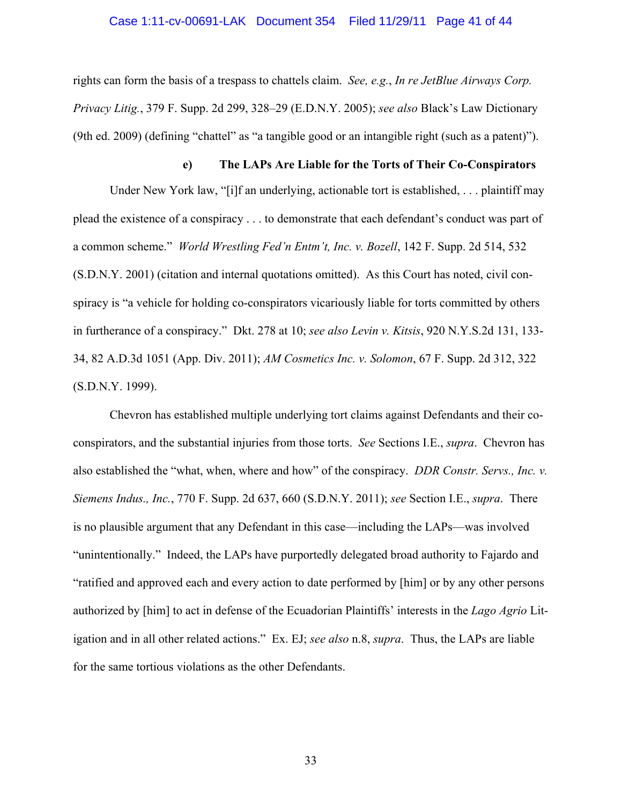#### Case 1:11-cv-00691-LAK Document 354 Filed 11/29/11 Page 41 of 44

rights can form the basis of a trespass to chattels claim. *See, e.g.*, *In re JetBlue Airways Corp. Privacy Litig.*, 379 F. Supp. 2d 299, 328–29 (E.D.N.Y. 2005); *see also* Black's Law Dictionary (9th ed. 2009) (defining "chattel" as "a tangible good or an intangible right (such as a patent)").

## **e) The LAPs Are Liable for the Torts of Their Co-Conspirators**

Under New York law, "[i]f an underlying, actionable tort is established, . . . plaintiff may plead the existence of a conspiracy . . . to demonstrate that each defendant's conduct was part of a common scheme." *World Wrestling Fed'n Entm't, Inc. v. Bozell*, 142 F. Supp. 2d 514, 532 (S.D.N.Y. 2001) (citation and internal quotations omitted). As this Court has noted, civil conspiracy is "a vehicle for holding co-conspirators vicariously liable for torts committed by others in furtherance of a conspiracy." Dkt. 278 at 10; *see also Levin v. Kitsis*, 920 N.Y.S.2d 131, 133- 34, 82 A.D.3d 1051 (App. Div. 2011); *AM Cosmetics Inc. v. Solomon*, 67 F. Supp. 2d 312, 322 (S.D.N.Y. 1999).

Chevron has established multiple underlying tort claims against Defendants and their coconspirators, and the substantial injuries from those torts. *See* Sections I.E., *supra*. Chevron has also established the "what, when, where and how" of the conspiracy. *DDR Constr. Servs., Inc. v. Siemens Indus., Inc.*, 770 F. Supp. 2d 637, 660 (S.D.N.Y. 2011); *see* Section I.E., *supra*. There is no plausible argument that any Defendant in this case—including the LAPs—was involved "unintentionally." Indeed, the LAPs have purportedly delegated broad authority to Fajardo and "ratified and approved each and every action to date performed by [him] or by any other persons authorized by [him] to act in defense of the Ecuadorian Plaintiffs' interests in the *Lago Agrio* Litigation and in all other related actions." Ex. EJ; *see also* n.8, *supra*. Thus, the LAPs are liable for the same tortious violations as the other Defendants.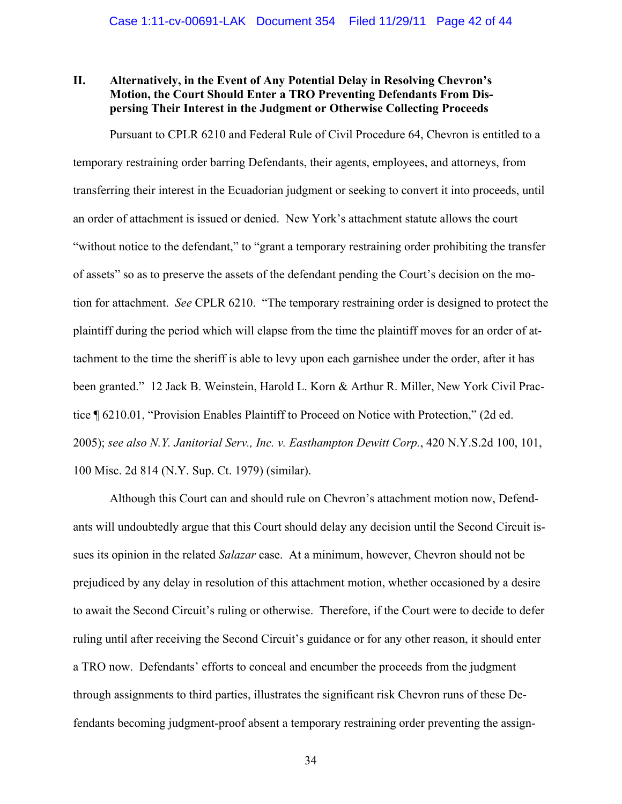## **II. Alternatively, in the Event of Any Potential Delay in Resolving Chevron's Motion, the Court Should Enter a TRO Preventing Defendants From Dispersing Their Interest in the Judgment or Otherwise Collecting Proceeds**

Pursuant to CPLR 6210 and Federal Rule of Civil Procedure 64, Chevron is entitled to a temporary restraining order barring Defendants, their agents, employees, and attorneys, from transferring their interest in the Ecuadorian judgment or seeking to convert it into proceeds, until an order of attachment is issued or denied. New York's attachment statute allows the court "without notice to the defendant," to "grant a temporary restraining order prohibiting the transfer of assets" so as to preserve the assets of the defendant pending the Court's decision on the motion for attachment. *See* CPLR 6210. "The temporary restraining order is designed to protect the plaintiff during the period which will elapse from the time the plaintiff moves for an order of attachment to the time the sheriff is able to levy upon each garnishee under the order, after it has been granted." 12 Jack B. Weinstein, Harold L. Korn & Arthur R. Miller, New York Civil Practice ¶ 6210.01, "Provision Enables Plaintiff to Proceed on Notice with Protection," (2d ed. 2005); *see also N.Y. Janitorial Serv., Inc. v. Easthampton Dewitt Corp.*, 420 N.Y.S.2d 100, 101, 100 Misc. 2d 814 (N.Y. Sup. Ct. 1979) (similar).

Although this Court can and should rule on Chevron's attachment motion now, Defendants will undoubtedly argue that this Court should delay any decision until the Second Circuit issues its opinion in the related *Salazar* case. At a minimum, however, Chevron should not be prejudiced by any delay in resolution of this attachment motion, whether occasioned by a desire to await the Second Circuit's ruling or otherwise. Therefore, if the Court were to decide to defer ruling until after receiving the Second Circuit's guidance or for any other reason, it should enter a TRO now. Defendants' efforts to conceal and encumber the proceeds from the judgment through assignments to third parties, illustrates the significant risk Chevron runs of these Defendants becoming judgment-proof absent a temporary restraining order preventing the assign-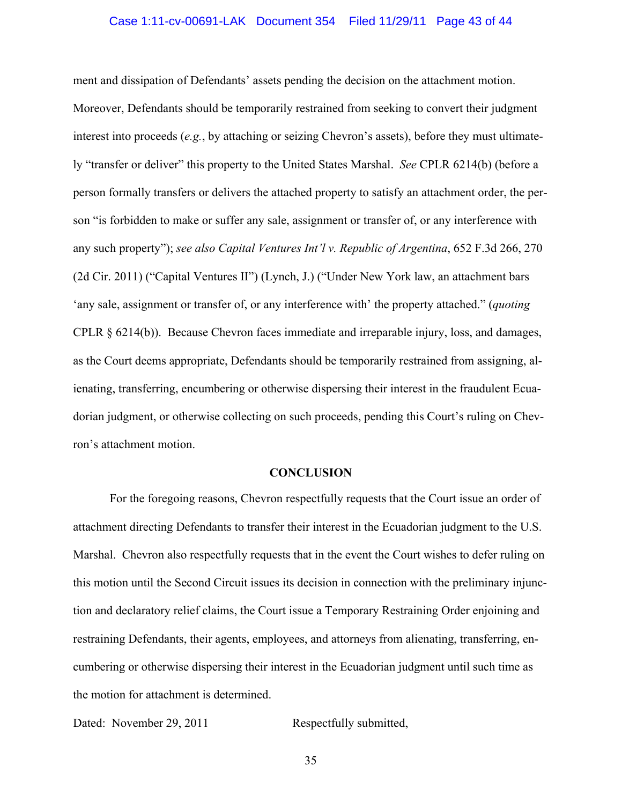ment and dissipation of Defendants' assets pending the decision on the attachment motion. Moreover, Defendants should be temporarily restrained from seeking to convert their judgment interest into proceeds (*e.g.*, by attaching or seizing Chevron's assets), before they must ultimately "transfer or deliver" this property to the United States Marshal. *See* CPLR 6214(b) (before a person formally transfers or delivers the attached property to satisfy an attachment order, the person "is forbidden to make or suffer any sale, assignment or transfer of, or any interference with any such property"); *see also Capital Ventures Int'l v. Republic of Argentina*, 652 F.3d 266, 270 (2d Cir. 2011) ("Capital Ventures II") (Lynch, J.) ("Under New York law, an attachment bars 'any sale, assignment or transfer of, or any interference with' the property attached." (*quoting* CPLR § 6214(b)). Because Chevron faces immediate and irreparable injury, loss, and damages, as the Court deems appropriate, Defendants should be temporarily restrained from assigning, alienating, transferring, encumbering or otherwise dispersing their interest in the fraudulent Ecuadorian judgment, or otherwise collecting on such proceeds, pending this Court's ruling on Chevron's attachment motion.

#### **CONCLUSION**

For the foregoing reasons, Chevron respectfully requests that the Court issue an order of attachment directing Defendants to transfer their interest in the Ecuadorian judgment to the U.S. Marshal. Chevron also respectfully requests that in the event the Court wishes to defer ruling on this motion until the Second Circuit issues its decision in connection with the preliminary injunction and declaratory relief claims, the Court issue a Temporary Restraining Order enjoining and restraining Defendants, their agents, employees, and attorneys from alienating, transferring, encumbering or otherwise dispersing their interest in the Ecuadorian judgment until such time as the motion for attachment is determined.

Dated: November 29, 2011 Respectfully submitted,